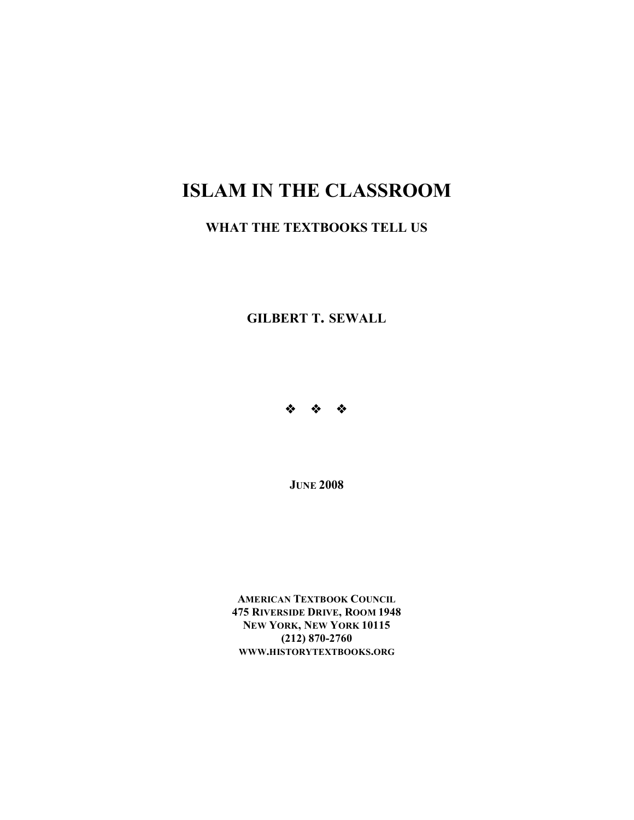# **ISLAM IN THE CLASSROOM**

# **WHAT THE TEXTBOOKS TELL US**

**GILBERT T. SEWALL**



**JUNE 2008** 

**AMERICAN TEXTBOOK COUNCIL 475 RIVERSIDE DRIVE, ROOM 1948 NEW YORK, NEW YORK 10115 (212) 870-2760 WWW.HISTORYTEXTBOOKS.ORG**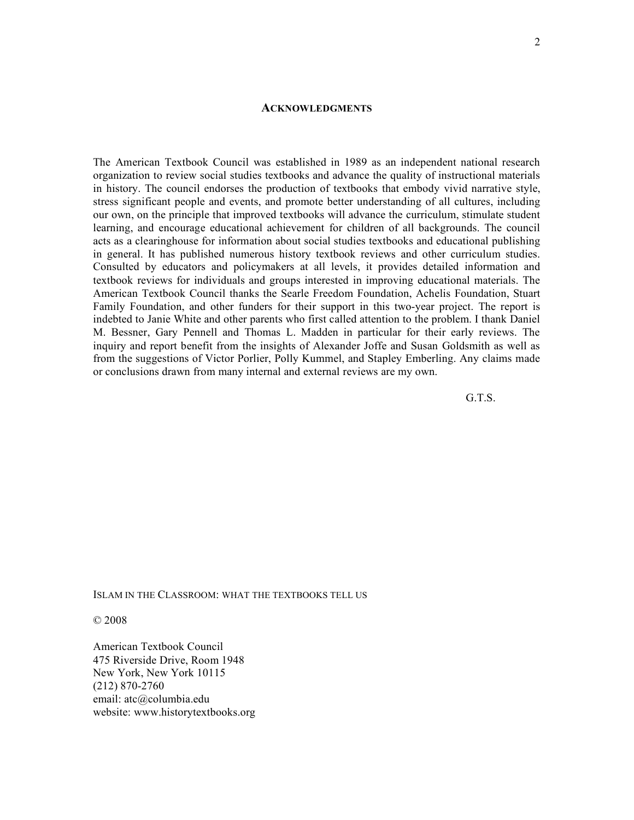#### **ACKNOWLEDGMENTS**

The American Textbook Council was established in 1989 as an independent national research organization to review social studies textbooks and advance the quality of instructional materials in history. The council endorses the production of textbooks that embody vivid narrative style, stress significant people and events, and promote better understanding of all cultures, including our own, on the principle that improved textbooks will advance the curriculum, stimulate student learning, and encourage educational achievement for children of all backgrounds. The council acts as a clearinghouse for information about social studies textbooks and educational publishing in general. It has published numerous history textbook reviews and other curriculum studies. Consulted by educators and policymakers at all levels, it provides detailed information and textbook reviews for individuals and groups interested in improving educational materials. The American Textbook Council thanks the Searle Freedom Foundation, Achelis Foundation, Stuart Family Foundation, and other funders for their support in this two-year project. The report is indebted to Janie White and other parents who first called attention to the problem. I thank Daniel M. Bessner, Gary Pennell and Thomas L. Madden in particular for their early reviews. The inquiry and report benefit from the insights of Alexander Joffe and Susan Goldsmith as well as from the suggestions of Victor Porlier, Polly Kummel, and Stapley Emberling. Any claims made or conclusions drawn from many internal and external reviews are my own.

G.T.S.

#### ISLAM IN THE CLASSROOM: WHAT THE TEXTBOOKS TELL US

© 2008

American Textbook Council 475 Riverside Drive, Room 1948 New York, New York 10115 (212) 870-2760 email: atc@columbia.edu website: www.historytextbooks.org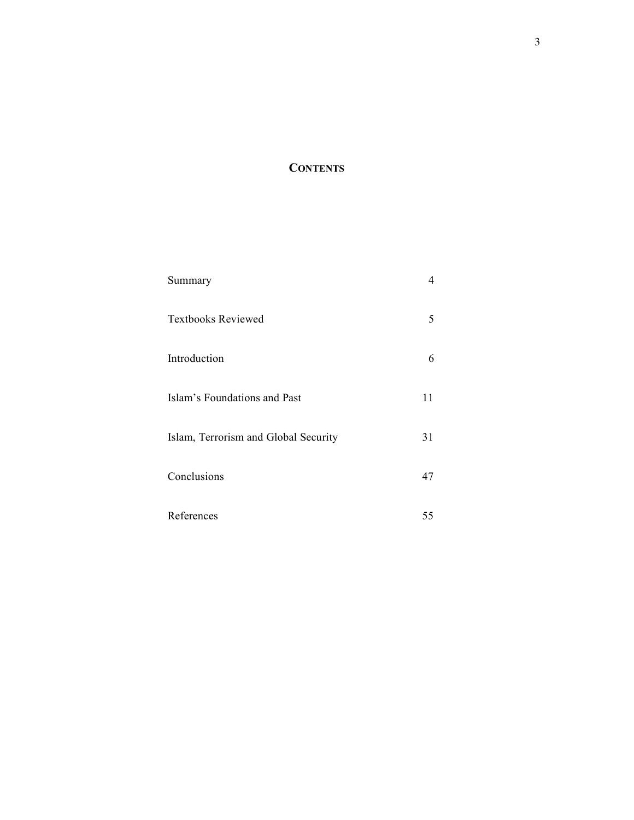# **CONTENTS**

| Summary                              | 4  |
|--------------------------------------|----|
| <b>Textbooks Reviewed</b>            | 5  |
| Introduction                         | 6  |
| Islam's Foundations and Past         | 11 |
| Islam, Terrorism and Global Security | 31 |
| Conclusions                          | 47 |
| References                           | 55 |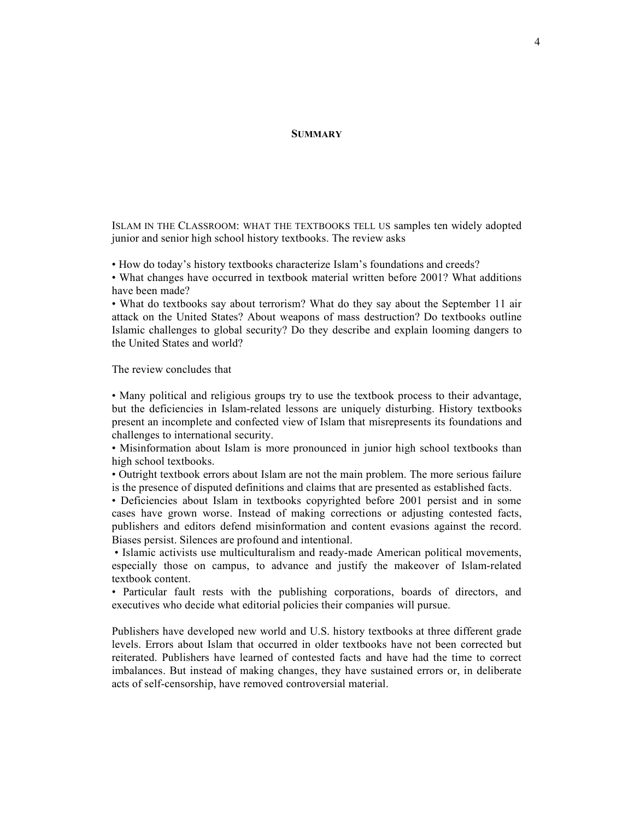#### **SUMMARY**

ISLAM IN THE CLASSROOM: WHAT THE TEXTBOOKS TELL US samples ten widely adopted junior and senior high school history textbooks. The review asks

• How do today's history textbooks characterize Islam's foundations and creeds?

• What changes have occurred in textbook material written before 2001? What additions have been made?

• What do textbooks say about terrorism? What do they say about the September 11 air attack on the United States? About weapons of mass destruction? Do textbooks outline Islamic challenges to global security? Do they describe and explain looming dangers to the United States and world?

The review concludes that

• Many political and religious groups try to use the textbook process to their advantage, but the deficiencies in Islam-related lessons are uniquely disturbing. History textbooks present an incomplete and confected view of Islam that misrepresents its foundations and challenges to international security.

• Misinformation about Islam is more pronounced in junior high school textbooks than high school textbooks.

• Outright textbook errors about Islam are not the main problem. The more serious failure is the presence of disputed definitions and claims that are presented as established facts.

• Deficiencies about Islam in textbooks copyrighted before 2001 persist and in some cases have grown worse. Instead of making corrections or adjusting contested facts, publishers and editors defend misinformation and content evasions against the record. Biases persist. Silences are profound and intentional.

• Islamic activists use multiculturalism and ready-made American political movements, especially those on campus, to advance and justify the makeover of Islam-related textbook content.

• Particular fault rests with the publishing corporations, boards of directors, and executives who decide what editorial policies their companies will pursue.

Publishers have developed new world and U.S. history textbooks at three different grade levels. Errors about Islam that occurred in older textbooks have not been corrected but reiterated. Publishers have learned of contested facts and have had the time to correct imbalances. But instead of making changes, they have sustained errors or, in deliberate acts of self-censorship, have removed controversial material.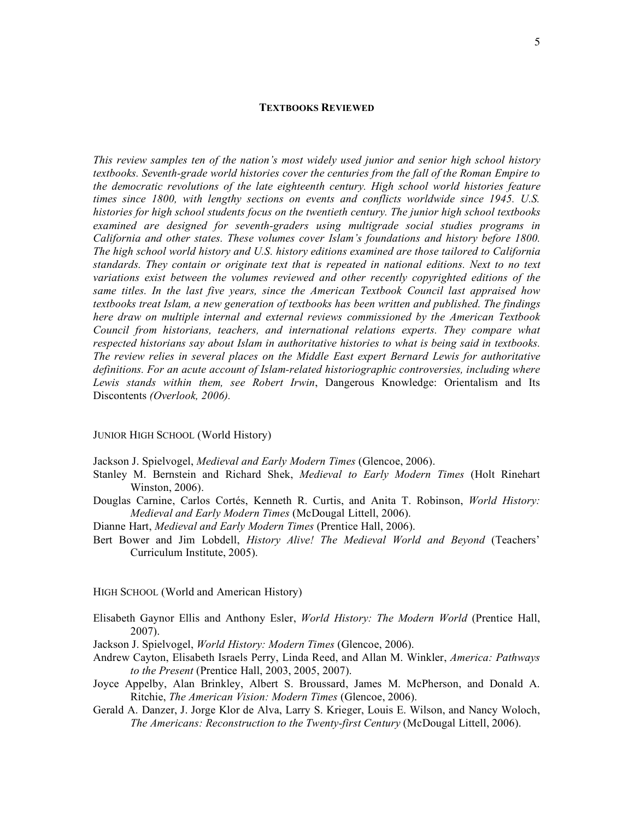#### **TEXTBOOKS REVIEWED**

*This review samples ten of the nation's most widely used junior and senior high school history textbooks. Seventh-grade world histories cover the centuries from the fall of the Roman Empire to the democratic revolutions of the late eighteenth century. High school world histories feature times since 1800, with lengthy sections on events and conflicts worldwide since 1945. U.S. histories for high school students focus on the twentieth century. The junior high school textbooks examined are designed for seventh-graders using multigrade social studies programs in California and other states. These volumes cover Islam's foundations and history before 1800. The high school world history and U.S. history editions examined are those tailored to California standards. They contain or originate text that is repeated in national editions. Next to no text variations exist between the volumes reviewed and other recently copyrighted editions of the same titles. In the last five years, since the American Textbook Council last appraised how textbooks treat Islam, a new generation of textbooks has been written and published. The findings here draw on multiple internal and external reviews commissioned by the American Textbook Council from historians, teachers, and international relations experts. They compare what respected historians say about Islam in authoritative histories to what is being said in textbooks. The review relies in several places on the Middle East expert Bernard Lewis for authoritative definitions. For an acute account of Islam-related historiographic controversies, including where Lewis stands within them, see Robert Irwin*, Dangerous Knowledge: Orientalism and Its Discontents *(Overlook, 2006).*

#### JUNIOR HIGH SCHOOL (World History)

- Jackson J. Spielvogel, *Medieval and Early Modern Times* (Glencoe, 2006).
- Stanley M. Bernstein and Richard Shek, *Medieval to Early Modern Times* (Holt Rinehart Winston, 2006).
- Douglas Carnine, Carlos Cortés, Kenneth R. Curtis, and Anita T. Robinson, *World History: Medieval and Early Modern Times* (McDougal Littell, 2006).
- Dianne Hart, *Medieval and Early Modern Times* (Prentice Hall, 2006).
- Bert Bower and Jim Lobdell, *History Alive! The Medieval World and Beyond* (Teachers' Curriculum Institute, 2005).

HIGH SCHOOL (World and American History)

- Elisabeth Gaynor Ellis and Anthony Esler, *World History: The Modern World* (Prentice Hall, 2007).
- Jackson J. Spielvogel, *World History: Modern Times* (Glencoe, 2006).
- Andrew Cayton, Elisabeth Israels Perry, Linda Reed, and Allan M. Winkler, *America: Pathways to the Present* (Prentice Hall, 2003, 2005, 2007).
- Joyce Appelby, Alan Brinkley, Albert S. Broussard, James M. McPherson, and Donald A. Ritchie, *The American Vision: Modern Times* (Glencoe, 2006).
- Gerald A. Danzer, J. Jorge Klor de Alva, Larry S. Krieger, Louis E. Wilson, and Nancy Woloch, *The Americans: Reconstruction to the Twenty-first Century* (McDougal Littell, 2006).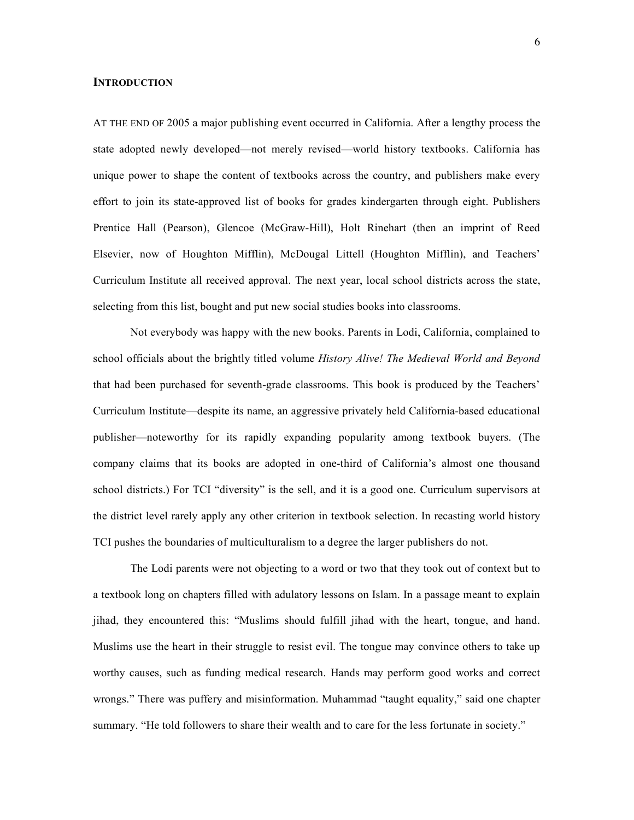#### **INTRODUCTION**

AT THE END OF 2005 a major publishing event occurred in California. After a lengthy process the state adopted newly developed—not merely revised—world history textbooks. California has unique power to shape the content of textbooks across the country, and publishers make every effort to join its state-approved list of books for grades kindergarten through eight. Publishers Prentice Hall (Pearson), Glencoe (McGraw-Hill), Holt Rinehart (then an imprint of Reed Elsevier, now of Houghton Mifflin), McDougal Littell (Houghton Mifflin), and Teachers' Curriculum Institute all received approval. The next year, local school districts across the state, selecting from this list, bought and put new social studies books into classrooms.

Not everybody was happy with the new books. Parents in Lodi, California, complained to school officials about the brightly titled volume *History Alive! The Medieval World and Beyond* that had been purchased for seventh-grade classrooms. This book is produced by the Teachers' Curriculum Institute—despite its name, an aggressive privately held California-based educational publisher—noteworthy for its rapidly expanding popularity among textbook buyers. (The company claims that its books are adopted in one-third of California's almost one thousand school districts.) For TCI "diversity" is the sell, and it is a good one. Curriculum supervisors at the district level rarely apply any other criterion in textbook selection. In recasting world history TCI pushes the boundaries of multiculturalism to a degree the larger publishers do not.

The Lodi parents were not objecting to a word or two that they took out of context but to a textbook long on chapters filled with adulatory lessons on Islam. In a passage meant to explain jihad, they encountered this: "Muslims should fulfill jihad with the heart, tongue, and hand. Muslims use the heart in their struggle to resist evil. The tongue may convince others to take up worthy causes, such as funding medical research. Hands may perform good works and correct wrongs." There was puffery and misinformation. Muhammad "taught equality," said one chapter summary. "He told followers to share their wealth and to care for the less fortunate in society."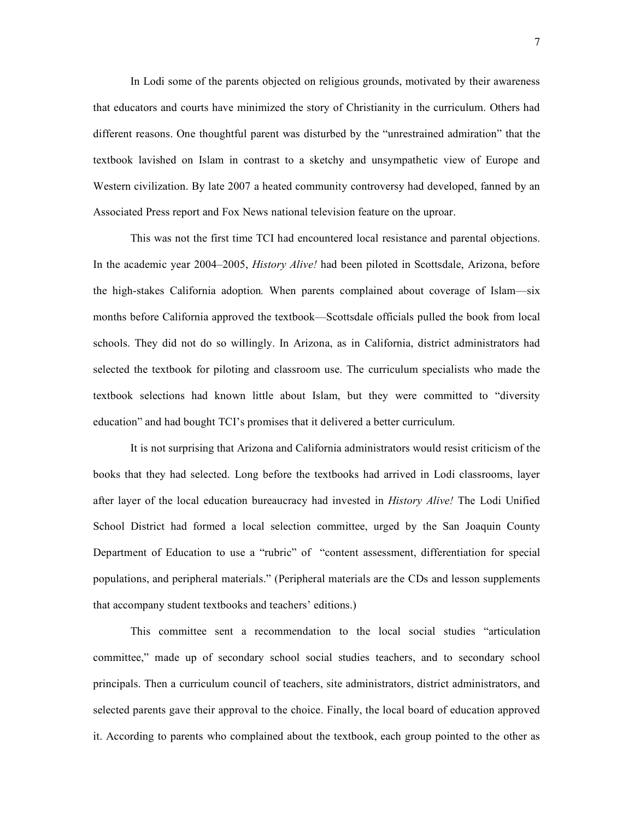In Lodi some of the parents objected on religious grounds, motivated by their awareness that educators and courts have minimized the story of Christianity in the curriculum. Others had different reasons. One thoughtful parent was disturbed by the "unrestrained admiration" that the textbook lavished on Islam in contrast to a sketchy and unsympathetic view of Europe and Western civilization. By late 2007 a heated community controversy had developed, fanned by an Associated Press report and Fox News national television feature on the uproar.

This was not the first time TCI had encountered local resistance and parental objections. In the academic year 2004–2005, *History Alive!* had been piloted in Scottsdale, Arizona, before the high-stakes California adoption*.* When parents complained about coverage of Islam—six months before California approved the textbook—Scottsdale officials pulled the book from local schools. They did not do so willingly. In Arizona, as in California, district administrators had selected the textbook for piloting and classroom use. The curriculum specialists who made the textbook selections had known little about Islam, but they were committed to "diversity education" and had bought TCI's promises that it delivered a better curriculum.

It is not surprising that Arizona and California administrators would resist criticism of the books that they had selected. Long before the textbooks had arrived in Lodi classrooms, layer after layer of the local education bureaucracy had invested in *History Alive!* The Lodi Unified School District had formed a local selection committee, urged by the San Joaquin County Department of Education to use a "rubric" of "content assessment, differentiation for special populations, and peripheral materials." (Peripheral materials are the CDs and lesson supplements that accompany student textbooks and teachers' editions.)

This committee sent a recommendation to the local social studies "articulation committee," made up of secondary school social studies teachers, and to secondary school principals. Then a curriculum council of teachers, site administrators, district administrators, and selected parents gave their approval to the choice. Finally, the local board of education approved it. According to parents who complained about the textbook, each group pointed to the other as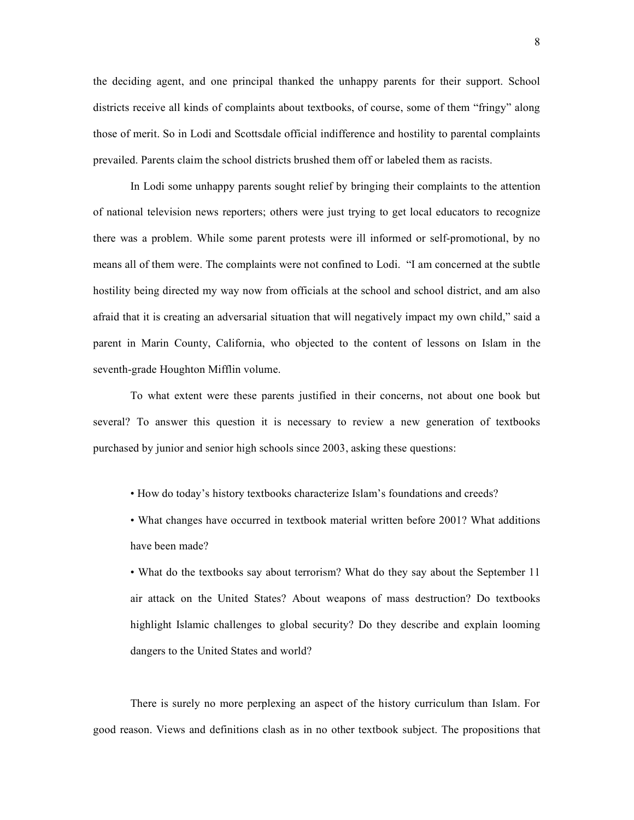the deciding agent, and one principal thanked the unhappy parents for their support. School districts receive all kinds of complaints about textbooks, of course, some of them "fringy" along those of merit. So in Lodi and Scottsdale official indifference and hostility to parental complaints prevailed. Parents claim the school districts brushed them off or labeled them as racists.

In Lodi some unhappy parents sought relief by bringing their complaints to the attention of national television news reporters; others were just trying to get local educators to recognize there was a problem. While some parent protests were ill informed or self-promotional, by no means all of them were. The complaints were not confined to Lodi. "I am concerned at the subtle hostility being directed my way now from officials at the school and school district, and am also afraid that it is creating an adversarial situation that will negatively impact my own child," said a parent in Marin County, California, who objected to the content of lessons on Islam in the seventh-grade Houghton Mifflin volume.

To what extent were these parents justified in their concerns, not about one book but several? To answer this question it is necessary to review a new generation of textbooks purchased by junior and senior high schools since 2003, asking these questions:

• How do today's history textbooks characterize Islam's foundations and creeds?

• What changes have occurred in textbook material written before 2001? What additions have been made?

• What do the textbooks say about terrorism? What do they say about the September 11 air attack on the United States? About weapons of mass destruction? Do textbooks highlight Islamic challenges to global security? Do they describe and explain looming dangers to the United States and world?

There is surely no more perplexing an aspect of the history curriculum than Islam. For good reason. Views and definitions clash as in no other textbook subject. The propositions that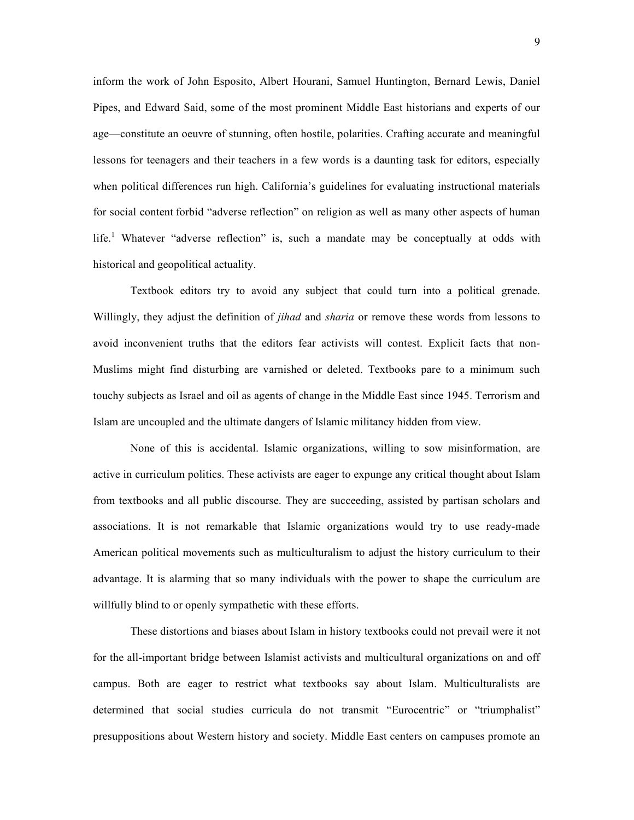inform the work of John Esposito, Albert Hourani, Samuel Huntington, Bernard Lewis, Daniel Pipes, and Edward Said, some of the most prominent Middle East historians and experts of our age—constitute an oeuvre of stunning, often hostile, polarities. Crafting accurate and meaningful lessons for teenagers and their teachers in a few words is a daunting task for editors, especially when political differences run high. California's guidelines for evaluating instructional materials for social content forbid "adverse reflection" on religion as well as many other aspects of human life.<sup>1</sup> Whatever "adverse reflection" is, such a mandate may be conceptually at odds with historical and geopolitical actuality.

Textbook editors try to avoid any subject that could turn into a political grenade. Willingly, they adjust the definition of *jihad* and *sharia* or remove these words from lessons to avoid inconvenient truths that the editors fear activists will contest. Explicit facts that non-Muslims might find disturbing are varnished or deleted. Textbooks pare to a minimum such touchy subjects as Israel and oil as agents of change in the Middle East since 1945. Terrorism and Islam are uncoupled and the ultimate dangers of Islamic militancy hidden from view.

None of this is accidental. Islamic organizations, willing to sow misinformation, are active in curriculum politics. These activists are eager to expunge any critical thought about Islam from textbooks and all public discourse. They are succeeding, assisted by partisan scholars and associations. It is not remarkable that Islamic organizations would try to use ready-made American political movements such as multiculturalism to adjust the history curriculum to their advantage. It is alarming that so many individuals with the power to shape the curriculum are willfully blind to or openly sympathetic with these efforts.

These distortions and biases about Islam in history textbooks could not prevail were it not for the all-important bridge between Islamist activists and multicultural organizations on and off campus. Both are eager to restrict what textbooks say about Islam. Multiculturalists are determined that social studies curricula do not transmit "Eurocentric" or "triumphalist" presuppositions about Western history and society. Middle East centers on campuses promote an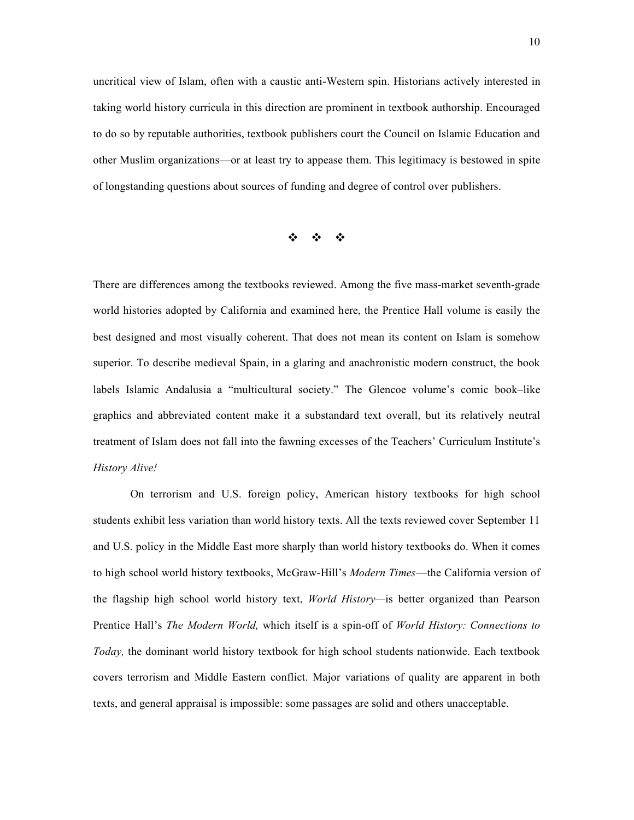uncritical view of Islam, often with a caustic anti-Western spin. Historians actively interested in taking world history curricula in this direction are prominent in textbook authorship. Encouraged to do so by reputable authorities, textbook publishers court the Council on Islamic Education and other Muslim organizations—or at least try to appease them. This legitimacy is bestowed in spite of longstanding questions about sources of funding and degree of control over publishers.

 $\phi = \phi = \phi$ 

There are differences among the textbooks reviewed. Among the five mass-market seventh-grade world histories adopted by California and examined here, the Prentice Hall volume is easily the best designed and most visually coherent. That does not mean its content on Islam is somehow superior. To describe medieval Spain, in a glaring and anachronistic modern construct, the book labels Islamic Andalusia a "multicultural society." The Glencoe volume's comic book–like graphics and abbreviated content make it a substandard text overall, but its relatively neutral treatment of Islam does not fall into the fawning excesses of the Teachers' Curriculum Institute's *History Alive!*

On terrorism and U.S. foreign policy, American history textbooks for high school students exhibit less variation than world history texts. All the texts reviewed cover September 11 and U.S. policy in the Middle East more sharply than world history textbooks do. When it comes to high school world history textbooks, McGraw-Hill's *Modern Times*—the California version of the flagship high school world history text, *World History—*is better organized than Pearson Prentice Hall's *The Modern World,* which itself is a spin-off of *World History: Connections to Today,* the dominant world history textbook for high school students nationwide. Each textbook covers terrorism and Middle Eastern conflict. Major variations of quality are apparent in both texts, and general appraisal is impossible: some passages are solid and others unacceptable.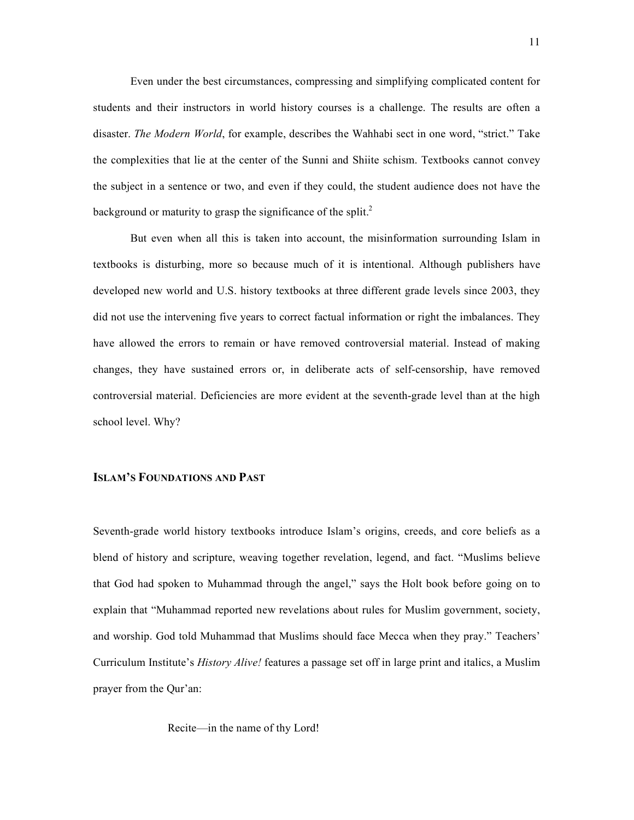Even under the best circumstances, compressing and simplifying complicated content for students and their instructors in world history courses is a challenge. The results are often a disaster. *The Modern World*, for example, describes the Wahhabi sect in one word, "strict." Take the complexities that lie at the center of the Sunni and Shiite schism. Textbooks cannot convey the subject in a sentence or two, and even if they could, the student audience does not have the background or maturity to grasp the significance of the split.<sup>2</sup>

But even when all this is taken into account, the misinformation surrounding Islam in textbooks is disturbing, more so because much of it is intentional. Although publishers have developed new world and U.S. history textbooks at three different grade levels since 2003, they did not use the intervening five years to correct factual information or right the imbalances. They have allowed the errors to remain or have removed controversial material. Instead of making changes, they have sustained errors or, in deliberate acts of self-censorship, have removed controversial material. Deficiencies are more evident at the seventh-grade level than at the high school level. Why?

## **ISLAM'S FOUNDATIONS AND PAST**

Seventh-grade world history textbooks introduce Islam's origins, creeds, and core beliefs as a blend of history and scripture, weaving together revelation, legend, and fact. "Muslims believe that God had spoken to Muhammad through the angel," says the Holt book before going on to explain that "Muhammad reported new revelations about rules for Muslim government, society, and worship. God told Muhammad that Muslims should face Mecca when they pray." Teachers' Curriculum Institute's *History Alive!* features a passage set off in large print and italics, a Muslim prayer from the Qur'an:

Recite—in the name of thy Lord!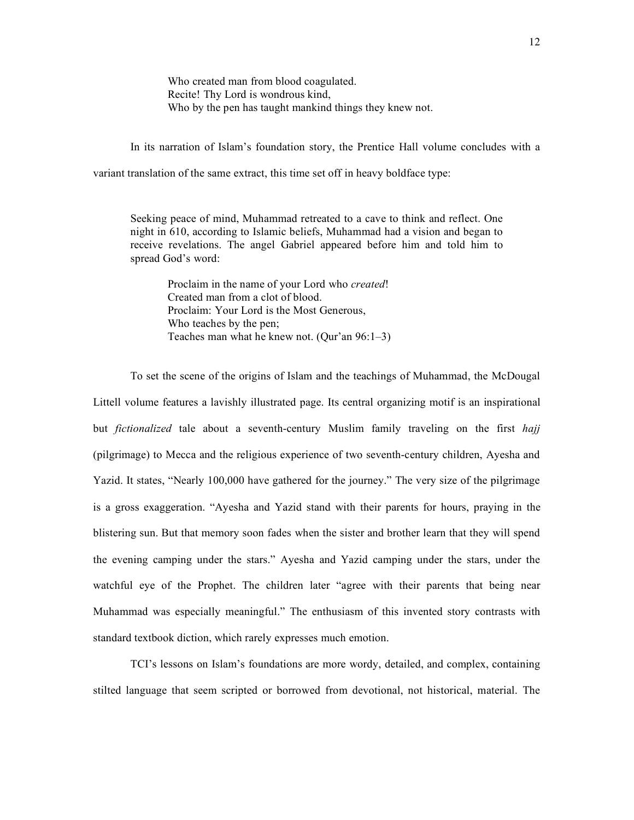Who created man from blood coagulated. Recite! Thy Lord is wondrous kind, Who by the pen has taught mankind things they knew not.

In its narration of Islam's foundation story, the Prentice Hall volume concludes with a

variant translation of the same extract, this time set off in heavy boldface type:

Seeking peace of mind, Muhammad retreated to a cave to think and reflect. One night in 610, according to Islamic beliefs, Muhammad had a vision and began to receive revelations. The angel Gabriel appeared before him and told him to spread God's word:

Proclaim in the name of your Lord who *created*! Created man from a clot of blood. Proclaim: Your Lord is the Most Generous, Who teaches by the pen; Teaches man what he knew not. (Qur'an 96:1–3)

To set the scene of the origins of Islam and the teachings of Muhammad, the McDougal Littell volume features a lavishly illustrated page. Its central organizing motif is an inspirational but *fictionalized* tale about a seventh-century Muslim family traveling on the first *hajj* (pilgrimage) to Mecca and the religious experience of two seventh-century children, Ayesha and Yazid. It states, "Nearly 100,000 have gathered for the journey." The very size of the pilgrimage is a gross exaggeration. "Ayesha and Yazid stand with their parents for hours, praying in the blistering sun. But that memory soon fades when the sister and brother learn that they will spend the evening camping under the stars." Ayesha and Yazid camping under the stars, under the watchful eye of the Prophet. The children later "agree with their parents that being near Muhammad was especially meaningful." The enthusiasm of this invented story contrasts with standard textbook diction, which rarely expresses much emotion.

TCI's lessons on Islam's foundations are more wordy, detailed, and complex, containing stilted language that seem scripted or borrowed from devotional, not historical, material. The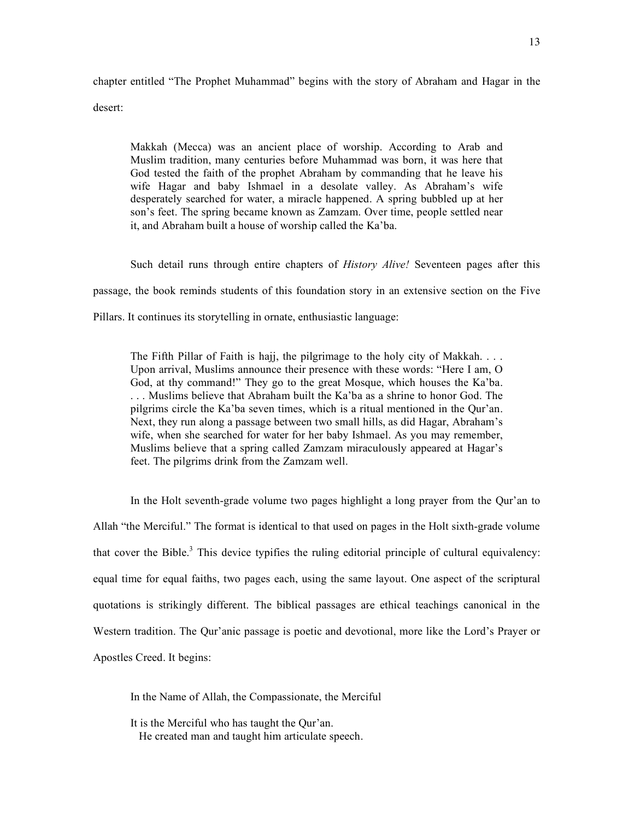chapter entitled "The Prophet Muhammad" begins with the story of Abraham and Hagar in the desert:

Makkah (Mecca) was an ancient place of worship. According to Arab and Muslim tradition, many centuries before Muhammad was born, it was here that God tested the faith of the prophet Abraham by commanding that he leave his wife Hagar and baby Ishmael in a desolate valley. As Abraham's wife desperately searched for water, a miracle happened. A spring bubbled up at her son's feet. The spring became known as Zamzam. Over time, people settled near it, and Abraham built a house of worship called the Ka'ba.

Such detail runs through entire chapters of *History Alive!* Seventeen pages after this passage, the book reminds students of this foundation story in an extensive section on the Five Pillars. It continues its storytelling in ornate, enthusiastic language:

The Fifth Pillar of Faith is hajj, the pilgrimage to the holy city of Makkah. . . . Upon arrival, Muslims announce their presence with these words: "Here I am, O God, at thy command!" They go to the great Mosque, which houses the Ka'ba. . . . Muslims believe that Abraham built the Ka'ba as a shrine to honor God. The pilgrims circle the Ka'ba seven times, which is a ritual mentioned in the Qur'an. Next, they run along a passage between two small hills, as did Hagar, Abraham's wife, when she searched for water for her baby Ishmael. As you may remember, Muslims believe that a spring called Zamzam miraculously appeared at Hagar's feet. The pilgrims drink from the Zamzam well.

In the Holt seventh-grade volume two pages highlight a long prayer from the Qur'an to Allah "the Merciful." The format is identical to that used on pages in the Holt sixth-grade volume that cover the Bible.<sup>3</sup> This device typifies the ruling editorial principle of cultural equivalency: equal time for equal faiths, two pages each, using the same layout. One aspect of the scriptural quotations is strikingly different. The biblical passages are ethical teachings canonical in the Western tradition. The Qur'anic passage is poetic and devotional, more like the Lord's Prayer or Apostles Creed. It begins:

In the Name of Allah, the Compassionate, the Merciful

It is the Merciful who has taught the Qur'an. He created man and taught him articulate speech.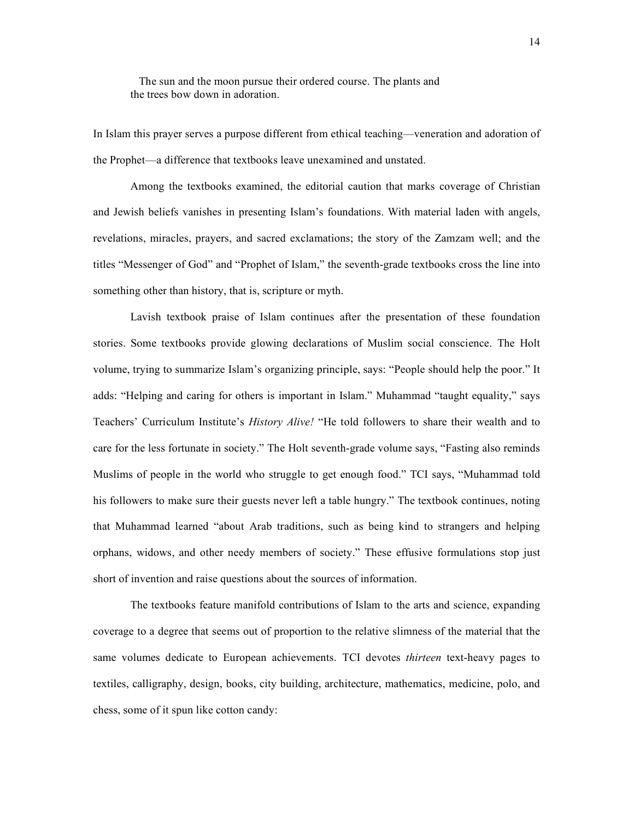The sun and the moon pursue their ordered course. The plants and the trees bow down in adoration.

In Islam this prayer serves a purpose different from ethical teaching—veneration and adoration of the Prophet—a difference that textbooks leave unexamined and unstated.

Among the textbooks examined, the editorial caution that marks coverage of Christian and Jewish beliefs vanishes in presenting Islam's foundations. With material laden with angels, revelations, miracles, prayers, and sacred exclamations; the story of the Zamzam well; and the titles "Messenger of God" and "Prophet of Islam," the seventh-grade textbooks cross the line into something other than history, that is, scripture or myth.

Lavish textbook praise of Islam continues after the presentation of these foundation stories. Some textbooks provide glowing declarations of Muslim social conscience. The Holt volume, trying to summarize Islam's organizing principle, says: "People should help the poor." It adds: "Helping and caring for others is important in Islam." Muhammad "taught equality," says Teachers' Curriculum Institute's *History Alive!* "He told followers to share their wealth and to care for the less fortunate in society." The Holt seventh-grade volume says, "Fasting also reminds Muslims of people in the world who struggle to get enough food." TCI says, "Muhammad told his followers to make sure their guests never left a table hungry." The textbook continues, noting that Muhammad learned "about Arab traditions, such as being kind to strangers and helping orphans, widows, and other needy members of society." These effusive formulations stop just short of invention and raise questions about the sources of information.

The textbooks feature manifold contributions of Islam to the arts and science, expanding coverage to a degree that seems out of proportion to the relative slimness of the material that the same volumes dedicate to European achievements. TCI devotes *thirteen* text-heavy pages to textiles, calligraphy, design, books, city building, architecture, mathematics, medicine, polo, and chess, some of it spun like cotton candy: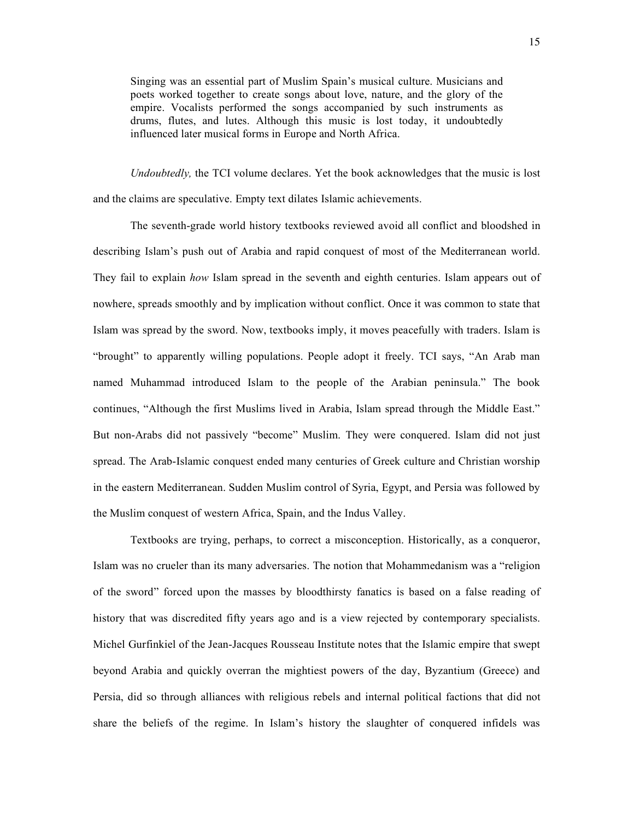Singing was an essential part of Muslim Spain's musical culture. Musicians and poets worked together to create songs about love, nature, and the glory of the empire. Vocalists performed the songs accompanied by such instruments as drums, flutes, and lutes. Although this music is lost today, it undoubtedly influenced later musical forms in Europe and North Africa.

*Undoubtedly,* the TCI volume declares. Yet the book acknowledges that the music is lost and the claims are speculative. Empty text dilates Islamic achievements.

The seventh-grade world history textbooks reviewed avoid all conflict and bloodshed in describing Islam's push out of Arabia and rapid conquest of most of the Mediterranean world. They fail to explain *how* Islam spread in the seventh and eighth centuries. Islam appears out of nowhere, spreads smoothly and by implication without conflict. Once it was common to state that Islam was spread by the sword. Now, textbooks imply, it moves peacefully with traders. Islam is "brought" to apparently willing populations. People adopt it freely. TCI says, "An Arab man named Muhammad introduced Islam to the people of the Arabian peninsula." The book continues, "Although the first Muslims lived in Arabia, Islam spread through the Middle East." But non-Arabs did not passively "become" Muslim. They were conquered. Islam did not just spread. The Arab-Islamic conquest ended many centuries of Greek culture and Christian worship in the eastern Mediterranean. Sudden Muslim control of Syria, Egypt, and Persia was followed by the Muslim conquest of western Africa, Spain, and the Indus Valley.

Textbooks are trying, perhaps, to correct a misconception. Historically, as a conqueror, Islam was no crueler than its many adversaries. The notion that Mohammedanism was a "religion of the sword" forced upon the masses by bloodthirsty fanatics is based on a false reading of history that was discredited fifty years ago and is a view rejected by contemporary specialists. Michel Gurfinkiel of the Jean-Jacques Rousseau Institute notes that the Islamic empire that swept beyond Arabia and quickly overran the mightiest powers of the day, Byzantium (Greece) and Persia, did so through alliances with religious rebels and internal political factions that did not share the beliefs of the regime. In Islam's history the slaughter of conquered infidels was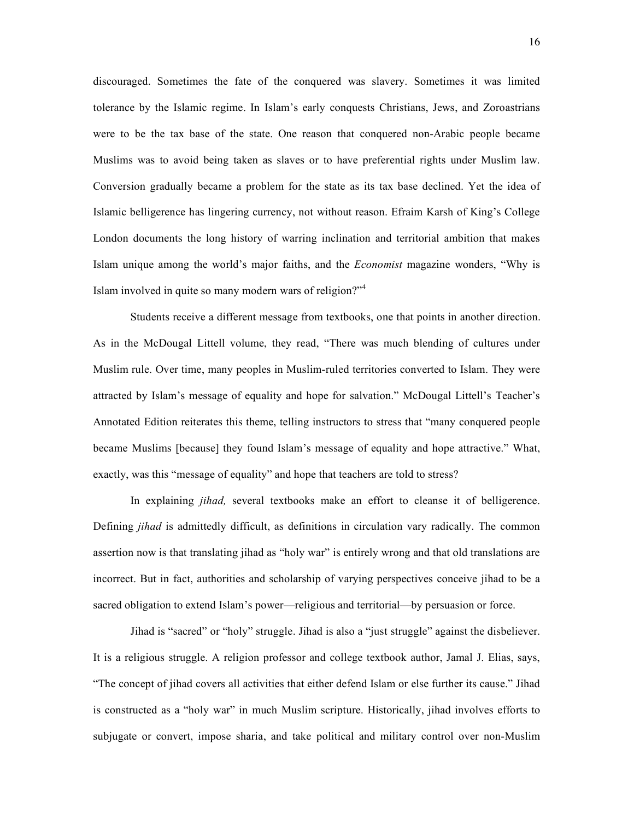discouraged. Sometimes the fate of the conquered was slavery. Sometimes it was limited tolerance by the Islamic regime. In Islam's early conquests Christians, Jews, and Zoroastrians were to be the tax base of the state. One reason that conquered non-Arabic people became Muslims was to avoid being taken as slaves or to have preferential rights under Muslim law. Conversion gradually became a problem for the state as its tax base declined. Yet the idea of Islamic belligerence has lingering currency, not without reason. Efraim Karsh of King's College London documents the long history of warring inclination and territorial ambition that makes Islam unique among the world's major faiths, and the *Economist* magazine wonders, "Why is Islam involved in quite so many modern wars of religion?"<sup>4</sup>

Students receive a different message from textbooks, one that points in another direction. As in the McDougal Littell volume, they read, "There was much blending of cultures under Muslim rule. Over time, many peoples in Muslim-ruled territories converted to Islam. They were attracted by Islam's message of equality and hope for salvation." McDougal Littell's Teacher's Annotated Edition reiterates this theme, telling instructors to stress that "many conquered people became Muslims [because] they found Islam's message of equality and hope attractive." What, exactly, was this "message of equality" and hope that teachers are told to stress?

In explaining *jihad,* several textbooks make an effort to cleanse it of belligerence. Defining *jihad* is admittedly difficult, as definitions in circulation vary radically. The common assertion now is that translating jihad as "holy war" is entirely wrong and that old translations are incorrect. But in fact, authorities and scholarship of varying perspectives conceive jihad to be a sacred obligation to extend Islam's power—religious and territorial—by persuasion or force.

Jihad is "sacred" or "holy" struggle. Jihad is also a "just struggle" against the disbeliever. It is a religious struggle. A religion professor and college textbook author, Jamal J. Elias, says, "The concept of jihad covers all activities that either defend Islam or else further its cause." Jihad is constructed as a "holy war" in much Muslim scripture. Historically, jihad involves efforts to subjugate or convert, impose sharia, and take political and military control over non-Muslim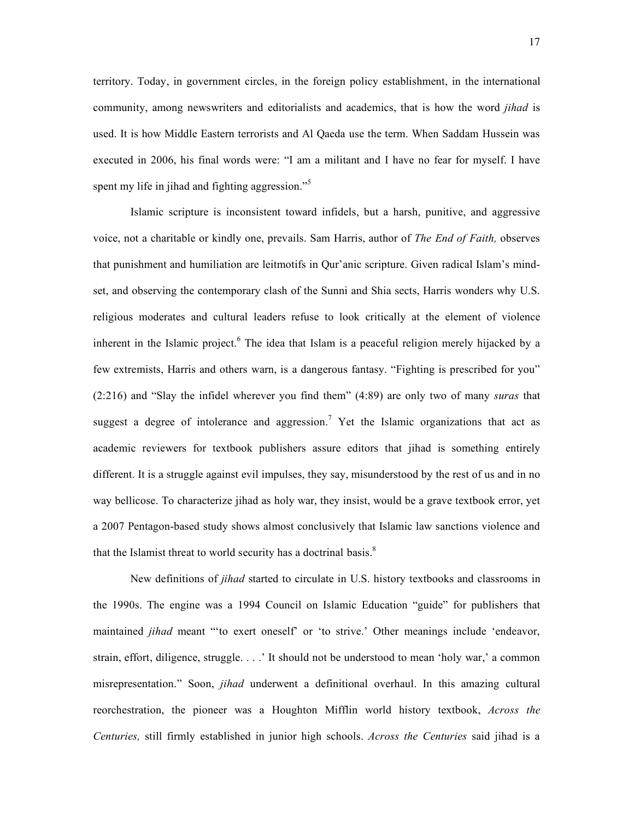territory. Today, in government circles, in the foreign policy establishment, in the international community, among newswriters and editorialists and academics, that is how the word *jihad* is used. It is how Middle Eastern terrorists and Al Qaeda use the term. When Saddam Hussein was executed in 2006, his final words were: "I am a militant and I have no fear for myself. I have spent my life in jihad and fighting aggression."<sup>5</sup>

Islamic scripture is inconsistent toward infidels, but a harsh, punitive, and aggressive voice, not a charitable or kindly one, prevails. Sam Harris, author of *The End of Faith,* observes that punishment and humiliation are leitmotifs in Qur'anic scripture. Given radical Islam's mindset, and observing the contemporary clash of the Sunni and Shia sects, Harris wonders why U.S. religious moderates and cultural leaders refuse to look critically at the element of violence inherent in the Islamic project. <sup>6</sup> The idea that Islam is a peaceful religion merely hijacked by a few extremists, Harris and others warn, is a dangerous fantasy. "Fighting is prescribed for you" (2:216) and "Slay the infidel wherever you find them" (4:89) are only two of many *suras* that suggest a degree of intolerance and aggression.<sup>7</sup> Yet the Islamic organizations that act as academic reviewers for textbook publishers assure editors that jihad is something entirely different. It is a struggle against evil impulses, they say, misunderstood by the rest of us and in no way bellicose. To characterize jihad as holy war, they insist, would be a grave textbook error, yet a 2007 Pentagon-based study shows almost conclusively that Islamic law sanctions violence and that the Islamist threat to world security has a doctrinal basis. $8$ 

New definitions of *jihad* started to circulate in U.S. history textbooks and classrooms in the 1990s. The engine was a 1994 Council on Islamic Education "guide" for publishers that maintained *jihad* meant "'to exert oneself' or 'to strive.' Other meanings include 'endeavor, strain, effort, diligence, struggle. . . .' It should not be understood to mean 'holy war,' a common misrepresentation." Soon, *jihad* underwent a definitional overhaul. In this amazing cultural reorchestration, the pioneer was a Houghton Mifflin world history textbook, *Across the Centuries,* still firmly established in junior high schools. *Across the Centuries* said jihad is a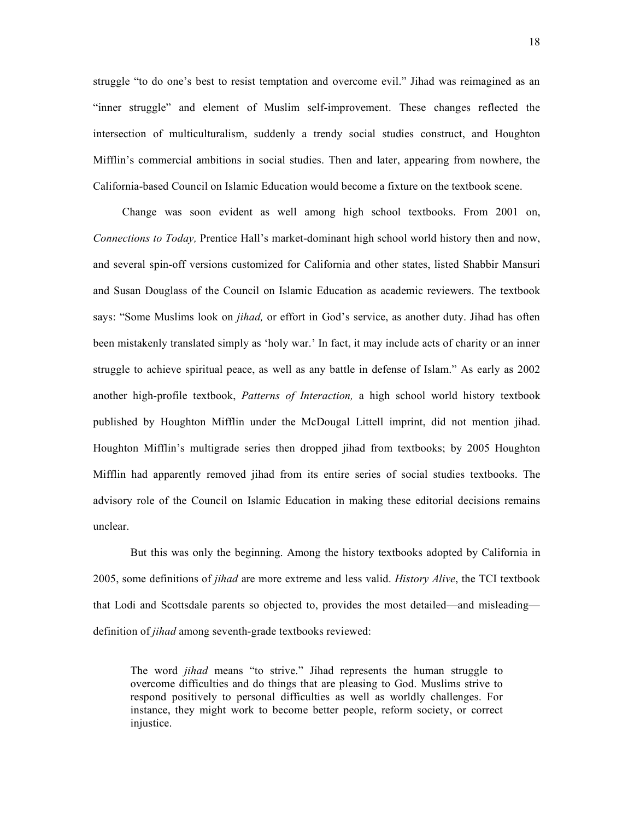struggle "to do one's best to resist temptation and overcome evil." Jihad was reimagined as an "inner struggle" and element of Muslim self-improvement. These changes reflected the intersection of multiculturalism, suddenly a trendy social studies construct, and Houghton Mifflin's commercial ambitions in social studies. Then and later, appearing from nowhere, the California-based Council on Islamic Education would become a fixture on the textbook scene.

Change was soon evident as well among high school textbooks. From 2001 on, *Connections to Today,* Prentice Hall's market-dominant high school world history then and now, and several spin-off versions customized for California and other states, listed Shabbir Mansuri and Susan Douglass of the Council on Islamic Education as academic reviewers. The textbook says: "Some Muslims look on *jihad,* or effort in God's service, as another duty. Jihad has often been mistakenly translated simply as 'holy war.' In fact, it may include acts of charity or an inner struggle to achieve spiritual peace, as well as any battle in defense of Islam." As early as 2002 another high-profile textbook, *Patterns of Interaction,* a high school world history textbook published by Houghton Mifflin under the McDougal Littell imprint, did not mention jihad. Houghton Mifflin's multigrade series then dropped jihad from textbooks; by 2005 Houghton Mifflin had apparently removed jihad from its entire series of social studies textbooks. The advisory role of the Council on Islamic Education in making these editorial decisions remains unclear.

But this was only the beginning. Among the history textbooks adopted by California in 2005, some definitions of *jihad* are more extreme and less valid. *History Alive*, the TCI textbook that Lodi and Scottsdale parents so objected to, provides the most detailed—and misleading definition of *jihad* among seventh-grade textbooks reviewed:

The word *jihad* means "to strive." Jihad represents the human struggle to overcome difficulties and do things that are pleasing to God. Muslims strive to respond positively to personal difficulties as well as worldly challenges. For instance, they might work to become better people, reform society, or correct injustice.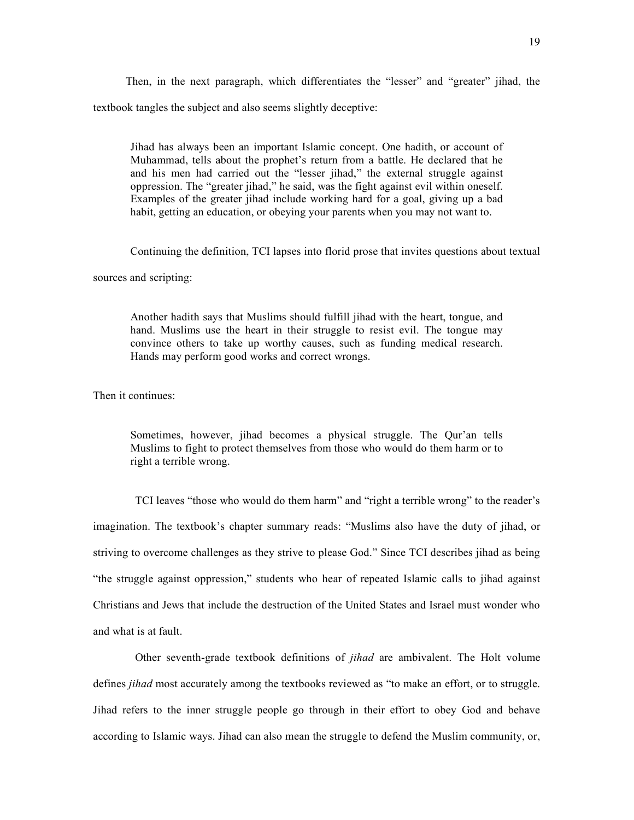Then, in the next paragraph, which differentiates the "lesser" and "greater" jihad, the textbook tangles the subject and also seems slightly deceptive:

Jihad has always been an important Islamic concept. One hadith, or account of Muhammad, tells about the prophet's return from a battle. He declared that he and his men had carried out the "lesser jihad," the external struggle against oppression. The "greater jihad," he said, was the fight against evil within oneself. Examples of the greater jihad include working hard for a goal, giving up a bad habit, getting an education, or obeying your parents when you may not want to.

Continuing the definition, TCI lapses into florid prose that invites questions about textual

sources and scripting:

Another hadith says that Muslims should fulfill jihad with the heart, tongue, and hand. Muslims use the heart in their struggle to resist evil. The tongue may convince others to take up worthy causes, such as funding medical research. Hands may perform good works and correct wrongs.

Then it continues:

Sometimes, however, jihad becomes a physical struggle. The Qur'an tells Muslims to fight to protect themselves from those who would do them harm or to right a terrible wrong.

TCI leaves "those who would do them harm" and "right a terrible wrong" to the reader's imagination. The textbook's chapter summary reads: "Muslims also have the duty of jihad, or striving to overcome challenges as they strive to please God." Since TCI describes jihad as being "the struggle against oppression," students who hear of repeated Islamic calls to jihad against Christians and Jews that include the destruction of the United States and Israel must wonder who and what is at fault.

Other seventh-grade textbook definitions of *jihad* are ambivalent. The Holt volume defines *jihad* most accurately among the textbooks reviewed as "to make an effort, or to struggle. Jihad refers to the inner struggle people go through in their effort to obey God and behave according to Islamic ways. Jihad can also mean the struggle to defend the Muslim community, or,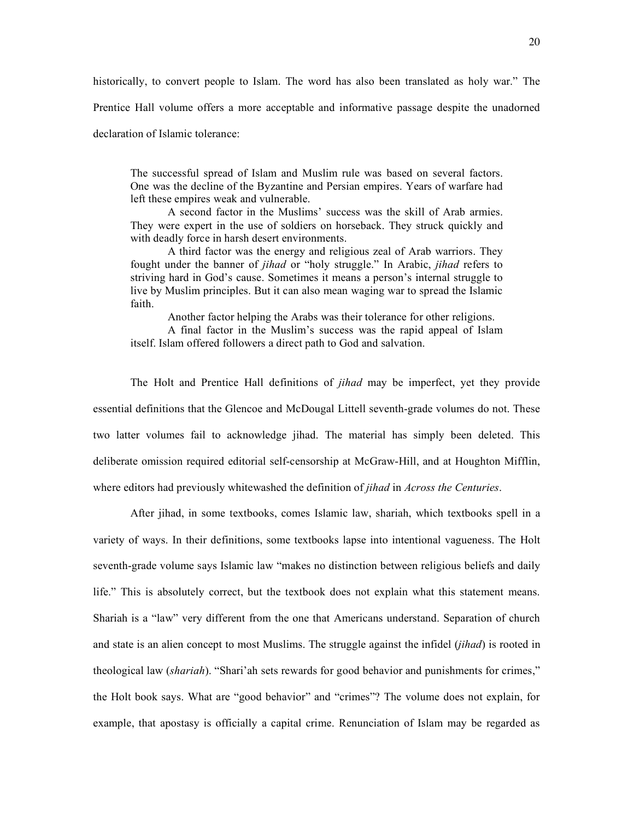historically, to convert people to Islam. The word has also been translated as holy war." The

Prentice Hall volume offers a more acceptable and informative passage despite the unadorned

declaration of Islamic tolerance:

The successful spread of Islam and Muslim rule was based on several factors. One was the decline of the Byzantine and Persian empires. Years of warfare had left these empires weak and vulnerable.

A second factor in the Muslims' success was the skill of Arab armies. They were expert in the use of soldiers on horseback. They struck quickly and with deadly force in harsh desert environments.

A third factor was the energy and religious zeal of Arab warriors. They fought under the banner of *jihad* or "holy struggle." In Arabic, *jihad* refers to striving hard in God's cause. Sometimes it means a person's internal struggle to live by Muslim principles. But it can also mean waging war to spread the Islamic faith.

Another factor helping the Arabs was their tolerance for other religions.

A final factor in the Muslim's success was the rapid appeal of Islam itself. Islam offered followers a direct path to God and salvation.

The Holt and Prentice Hall definitions of *jihad* may be imperfect, yet they provide essential definitions that the Glencoe and McDougal Littell seventh-grade volumes do not. These two latter volumes fail to acknowledge jihad. The material has simply been deleted. This deliberate omission required editorial self-censorship at McGraw-Hill, and at Houghton Mifflin, where editors had previously whitewashed the definition of *jihad* in *Across the Centuries*.

After jihad, in some textbooks, comes Islamic law, shariah, which textbooks spell in a variety of ways. In their definitions, some textbooks lapse into intentional vagueness. The Holt seventh-grade volume says Islamic law "makes no distinction between religious beliefs and daily life." This is absolutely correct, but the textbook does not explain what this statement means. Shariah is a "law" very different from the one that Americans understand. Separation of church and state is an alien concept to most Muslims. The struggle against the infidel (*jihad*) is rooted in theological law (*shariah*). "Shari'ah sets rewards for good behavior and punishments for crimes," the Holt book says. What are "good behavior" and "crimes"? The volume does not explain, for example, that apostasy is officially a capital crime. Renunciation of Islam may be regarded as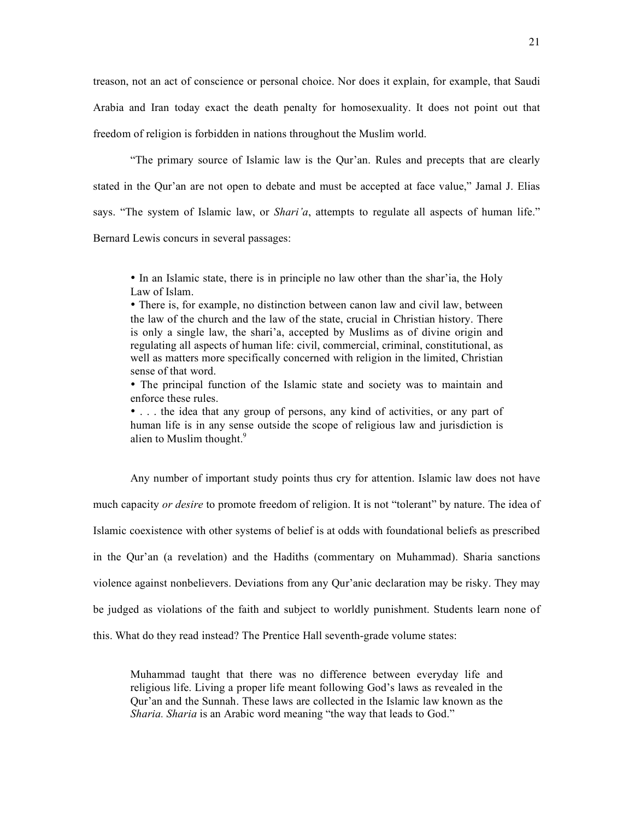treason, not an act of conscience or personal choice. Nor does it explain, for example, that Saudi Arabia and Iran today exact the death penalty for homosexuality. It does not point out that freedom of religion is forbidden in nations throughout the Muslim world.

"The primary source of Islamic law is the Qur'an. Rules and precepts that are clearly stated in the Qur'an are not open to debate and must be accepted at face value," Jamal J. Elias says. "The system of Islamic law, or *Shari'a*, attempts to regulate all aspects of human life." Bernard Lewis concurs in several passages:

• In an Islamic state, there is in principle no law other than the shar'ia, the Holy Law of Islam.

• There is, for example, no distinction between canon law and civil law, between the law of the church and the law of the state, crucial in Christian history. There is only a single law, the shari'a, accepted by Muslims as of divine origin and regulating all aspects of human life: civil, commercial, criminal, constitutional, as well as matters more specifically concerned with religion in the limited, Christian sense of that word.

• The principal function of the Islamic state and society was to maintain and enforce these rules.

• . . . the idea that any group of persons, any kind of activities, or any part of human life is in any sense outside the scope of religious law and jurisdiction is alien to Muslim thought. 9

Any number of important study points thus cry for attention. Islamic law does not have much capacity *or desire* to promote freedom of religion. It is not "tolerant" by nature. The idea of Islamic coexistence with other systems of belief is at odds with foundational beliefs as prescribed in the Qur'an (a revelation) and the Hadiths (commentary on Muhammad). Sharia sanctions violence against nonbelievers. Deviations from any Qur'anic declaration may be risky. They may be judged as violations of the faith and subject to worldly punishment. Students learn none of this. What do they read instead? The Prentice Hall seventh-grade volume states:

Muhammad taught that there was no difference between everyday life and religious life. Living a proper life meant following God's laws as revealed in the Qur'an and the Sunnah. These laws are collected in the Islamic law known as the *Sharia. Sharia* is an Arabic word meaning "the way that leads to God."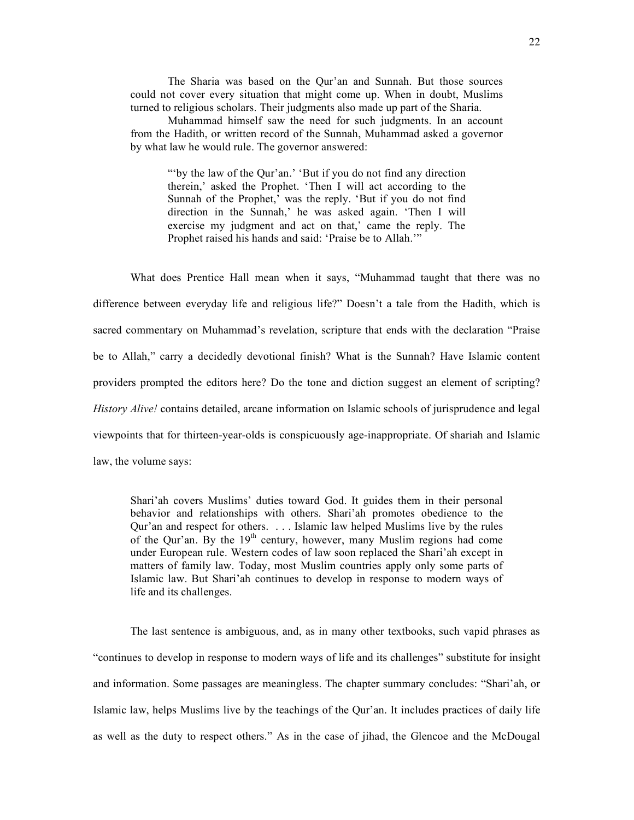The Sharia was based on the Qur'an and Sunnah. But those sources could not cover every situation that might come up. When in doubt, Muslims turned to religious scholars. Their judgments also made up part of the Sharia.

Muhammad himself saw the need for such judgments. In an account from the Hadith, or written record of the Sunnah, Muhammad asked a governor by what law he would rule. The governor answered:

"'by the law of the Qur'an.' 'But if you do not find any direction therein,' asked the Prophet. 'Then I will act according to the Sunnah of the Prophet,' was the reply. 'But if you do not find direction in the Sunnah,' he was asked again. 'Then I will exercise my judgment and act on that,' came the reply. The Prophet raised his hands and said: 'Praise be to Allah.'"

What does Prentice Hall mean when it says, "Muhammad taught that there was no difference between everyday life and religious life?" Doesn't a tale from the Hadith, which is sacred commentary on Muhammad's revelation, scripture that ends with the declaration "Praise be to Allah," carry a decidedly devotional finish? What is the Sunnah? Have Islamic content providers prompted the editors here? Do the tone and diction suggest an element of scripting? *History Alive!* contains detailed, arcane information on Islamic schools of jurisprudence and legal viewpoints that for thirteen-year-olds is conspicuously age-inappropriate. Of shariah and Islamic law, the volume says:

Shari'ah covers Muslims' duties toward God. It guides them in their personal behavior and relationships with others. Shari'ah promotes obedience to the Qur'an and respect for others. . . . Islamic law helped Muslims live by the rules of the Qur'an. By the  $19<sup>th</sup>$  century, however, many Muslim regions had come under European rule. Western codes of law soon replaced the Shari'ah except in matters of family law. Today, most Muslim countries apply only some parts of Islamic law. But Shari'ah continues to develop in response to modern ways of life and its challenges.

The last sentence is ambiguous, and, as in many other textbooks, such vapid phrases as "continues to develop in response to modern ways of life and its challenges" substitute for insight and information. Some passages are meaningless. The chapter summary concludes: "Shari'ah, or Islamic law, helps Muslims live by the teachings of the Qur'an. It includes practices of daily life as well as the duty to respect others." As in the case of jihad, the Glencoe and the McDougal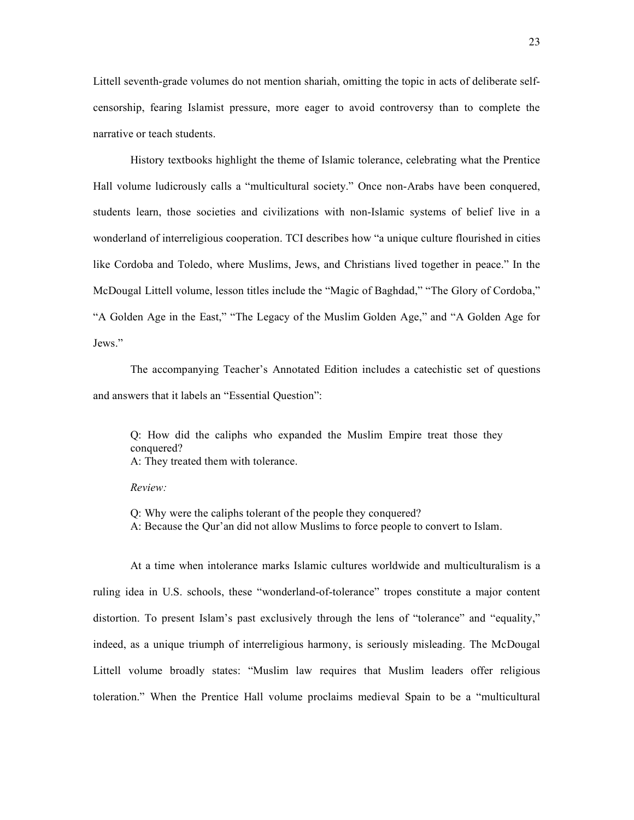Littell seventh-grade volumes do not mention shariah, omitting the topic in acts of deliberate selfcensorship, fearing Islamist pressure, more eager to avoid controversy than to complete the narrative or teach students.

History textbooks highlight the theme of Islamic tolerance, celebrating what the Prentice Hall volume ludicrously calls a "multicultural society." Once non-Arabs have been conquered, students learn, those societies and civilizations with non-Islamic systems of belief live in a wonderland of interreligious cooperation. TCI describes how "a unique culture flourished in cities like Cordoba and Toledo, where Muslims, Jews, and Christians lived together in peace." In the McDougal Littell volume, lesson titles include the "Magic of Baghdad," "The Glory of Cordoba," "A Golden Age in the East," "The Legacy of the Muslim Golden Age," and "A Golden Age for Jews."

The accompanying Teacher's Annotated Edition includes a catechistic set of questions and answers that it labels an "Essential Question":

Q: How did the caliphs who expanded the Muslim Empire treat those they conquered? A: They treated them with tolerance.

*Review:*

Q: Why were the caliphs tolerant of the people they conquered? A: Because the Qur'an did not allow Muslims to force people to convert to Islam.

At a time when intolerance marks Islamic cultures worldwide and multiculturalism is a ruling idea in U.S. schools, these "wonderland-of-tolerance" tropes constitute a major content distortion. To present Islam's past exclusively through the lens of "tolerance" and "equality," indeed, as a unique triumph of interreligious harmony, is seriously misleading. The McDougal Littell volume broadly states: "Muslim law requires that Muslim leaders offer religious toleration." When the Prentice Hall volume proclaims medieval Spain to be a "multicultural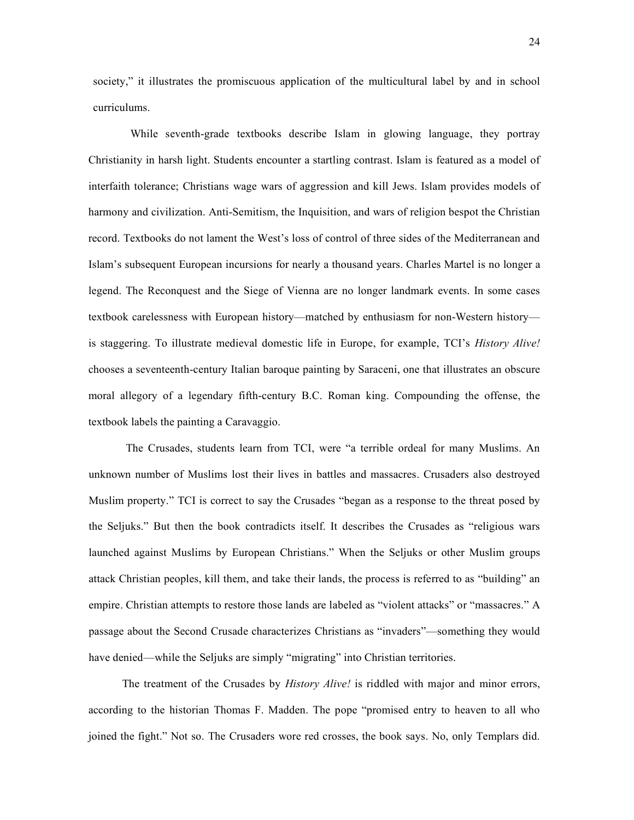society," it illustrates the promiscuous application of the multicultural label by and in school curriculums.

While seventh-grade textbooks describe Islam in glowing language, they portray Christianity in harsh light. Students encounter a startling contrast. Islam is featured as a model of interfaith tolerance; Christians wage wars of aggression and kill Jews. Islam provides models of harmony and civilization. Anti-Semitism, the Inquisition, and wars of religion bespot the Christian record. Textbooks do not lament the West's loss of control of three sides of the Mediterranean and Islam's subsequent European incursions for nearly a thousand years. Charles Martel is no longer a legend. The Reconquest and the Siege of Vienna are no longer landmark events. In some cases textbook carelessness with European history—matched by enthusiasm for non-Western history is staggering. To illustrate medieval domestic life in Europe, for example, TCI's *History Alive!* chooses a seventeenth-century Italian baroque painting by Saraceni, one that illustrates an obscure moral allegory of a legendary fifth-century B.C. Roman king. Compounding the offense, the textbook labels the painting a Caravaggio.

The Crusades, students learn from TCI, were "a terrible ordeal for many Muslims. An unknown number of Muslims lost their lives in battles and massacres. Crusaders also destroyed Muslim property." TCI is correct to say the Crusades "began as a response to the threat posed by the Seljuks." But then the book contradicts itself. It describes the Crusades as "religious wars launched against Muslims by European Christians." When the Seljuks or other Muslim groups attack Christian peoples, kill them, and take their lands, the process is referred to as "building" an empire. Christian attempts to restore those lands are labeled as "violent attacks" or "massacres." A passage about the Second Crusade characterizes Christians as "invaders"—something they would have denied—while the Seljuks are simply "migrating" into Christian territories.

The treatment of the Crusades by *History Alive!* is riddled with major and minor errors, according to the historian Thomas F. Madden. The pope "promised entry to heaven to all who joined the fight." Not so. The Crusaders wore red crosses, the book says. No, only Templars did.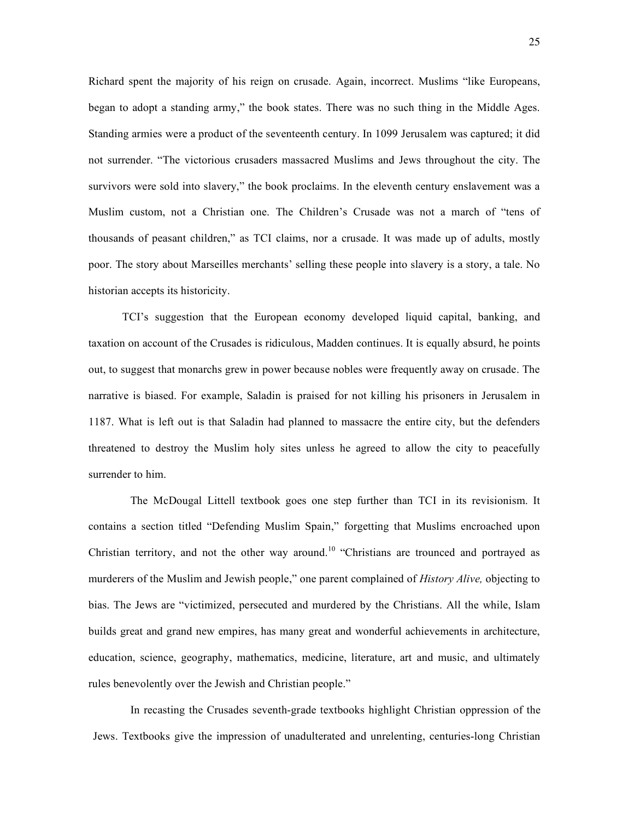Richard spent the majority of his reign on crusade. Again, incorrect. Muslims "like Europeans, began to adopt a standing army," the book states. There was no such thing in the Middle Ages. Standing armies were a product of the seventeenth century. In 1099 Jerusalem was captured; it did not surrender. "The victorious crusaders massacred Muslims and Jews throughout the city. The survivors were sold into slavery," the book proclaims. In the eleventh century enslavement was a Muslim custom, not a Christian one. The Children's Crusade was not a march of "tens of thousands of peasant children," as TCI claims, nor a crusade. It was made up of adults, mostly poor. The story about Marseilles merchants' selling these people into slavery is a story, a tale. No historian accepts its historicity.

TCI's suggestion that the European economy developed liquid capital, banking, and taxation on account of the Crusades is ridiculous, Madden continues. It is equally absurd, he points out, to suggest that monarchs grew in power because nobles were frequently away on crusade. The narrative is biased. For example, Saladin is praised for not killing his prisoners in Jerusalem in 1187. What is left out is that Saladin had planned to massacre the entire city, but the defenders threatened to destroy the Muslim holy sites unless he agreed to allow the city to peacefully surrender to him.

The McDougal Littell textbook goes one step further than TCI in its revisionism. It contains a section titled "Defending Muslim Spain," forgetting that Muslims encroached upon Christian territory, and not the other way around.<sup>10</sup> "Christians are trounced and portrayed as murderers of the Muslim and Jewish people," one parent complained of *History Alive,* objecting to bias. The Jews are "victimized, persecuted and murdered by the Christians. All the while, Islam builds great and grand new empires, has many great and wonderful achievements in architecture, education, science, geography, mathematics, medicine, literature, art and music, and ultimately rules benevolently over the Jewish and Christian people."

In recasting the Crusades seventh-grade textbooks highlight Christian oppression of the Jews. Textbooks give the impression of unadulterated and unrelenting, centuries-long Christian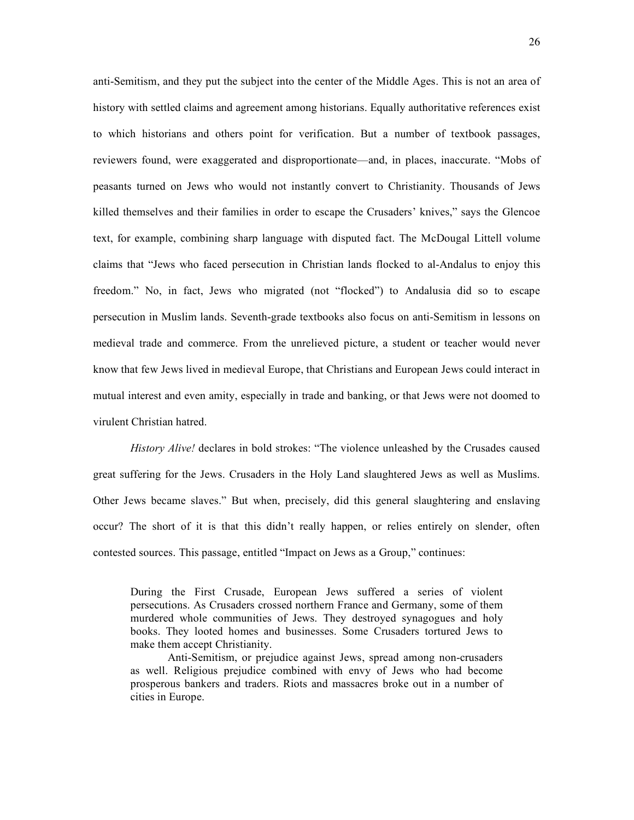anti-Semitism, and they put the subject into the center of the Middle Ages. This is not an area of history with settled claims and agreement among historians. Equally authoritative references exist to which historians and others point for verification. But a number of textbook passages, reviewers found, were exaggerated and disproportionate—and, in places, inaccurate. "Mobs of peasants turned on Jews who would not instantly convert to Christianity. Thousands of Jews killed themselves and their families in order to escape the Crusaders' knives," says the Glencoe text, for example, combining sharp language with disputed fact. The McDougal Littell volume claims that "Jews who faced persecution in Christian lands flocked to al-Andalus to enjoy this freedom." No, in fact, Jews who migrated (not "flocked") to Andalusia did so to escape persecution in Muslim lands. Seventh-grade textbooks also focus on anti-Semitism in lessons on medieval trade and commerce. From the unrelieved picture, a student or teacher would never know that few Jews lived in medieval Europe, that Christians and European Jews could interact in mutual interest and even amity, especially in trade and banking, or that Jews were not doomed to virulent Christian hatred.

*History Alive!* declares in bold strokes: "The violence unleashed by the Crusades caused great suffering for the Jews. Crusaders in the Holy Land slaughtered Jews as well as Muslims. Other Jews became slaves." But when, precisely, did this general slaughtering and enslaving occur? The short of it is that this didn't really happen, or relies entirely on slender, often contested sources. This passage, entitled "Impact on Jews as a Group," continues:

During the First Crusade, European Jews suffered a series of violent persecutions. As Crusaders crossed northern France and Germany, some of them murdered whole communities of Jews. They destroyed synagogues and holy books. They looted homes and businesses. Some Crusaders tortured Jews to make them accept Christianity.

Anti-Semitism, or prejudice against Jews, spread among non-crusaders as well. Religious prejudice combined with envy of Jews who had become prosperous bankers and traders. Riots and massacres broke out in a number of cities in Europe.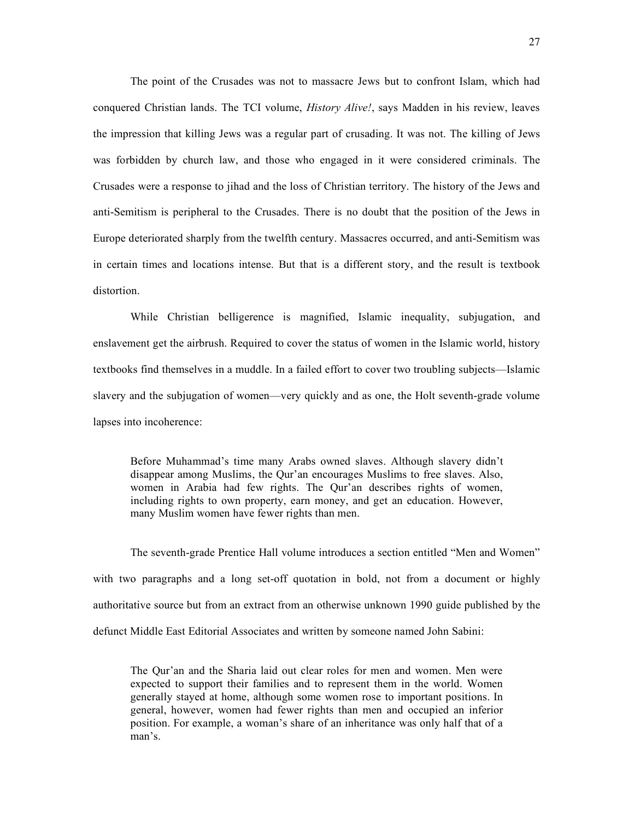The point of the Crusades was not to massacre Jews but to confront Islam, which had conquered Christian lands. The TCI volume, *History Alive!*, says Madden in his review, leaves the impression that killing Jews was a regular part of crusading. It was not. The killing of Jews was forbidden by church law, and those who engaged in it were considered criminals. The Crusades were a response to jihad and the loss of Christian territory. The history of the Jews and anti-Semitism is peripheral to the Crusades. There is no doubt that the position of the Jews in Europe deteriorated sharply from the twelfth century. Massacres occurred, and anti-Semitism was in certain times and locations intense. But that is a different story, and the result is textbook distortion.

While Christian belligerence is magnified, Islamic inequality, subjugation, and enslavement get the airbrush. Required to cover the status of women in the Islamic world, history textbooks find themselves in a muddle. In a failed effort to cover two troubling subjects—Islamic slavery and the subjugation of women—very quickly and as one, the Holt seventh-grade volume lapses into incoherence:

Before Muhammad's time many Arabs owned slaves. Although slavery didn't disappear among Muslims, the Qur'an encourages Muslims to free slaves. Also, women in Arabia had few rights. The Qur'an describes rights of women, including rights to own property, earn money, and get an education. However, many Muslim women have fewer rights than men.

The seventh-grade Prentice Hall volume introduces a section entitled "Men and Women" with two paragraphs and a long set-off quotation in bold, not from a document or highly authoritative source but from an extract from an otherwise unknown 1990 guide published by the defunct Middle East Editorial Associates and written by someone named John Sabini:

The Qur'an and the Sharia laid out clear roles for men and women. Men were expected to support their families and to represent them in the world. Women generally stayed at home, although some women rose to important positions. In general, however, women had fewer rights than men and occupied an inferior position. For example, a woman's share of an inheritance was only half that of a man's.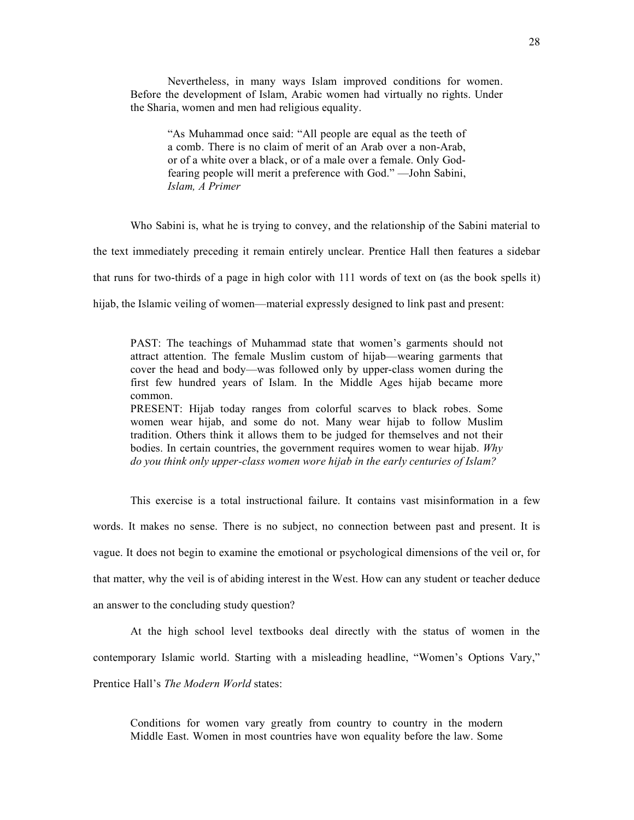Nevertheless, in many ways Islam improved conditions for women. Before the development of Islam, Arabic women had virtually no rights. Under the Sharia, women and men had religious equality.

"As Muhammad once said: "All people are equal as the teeth of a comb. There is no claim of merit of an Arab over a non-Arab, or of a white over a black, or of a male over a female. Only Godfearing people will merit a preference with God." —John Sabini, *Islam, A Primer*

Who Sabini is, what he is trying to convey, and the relationship of the Sabini material to

the text immediately preceding it remain entirely unclear. Prentice Hall then features a sidebar

that runs for two-thirds of a page in high color with 111 words of text on (as the book spells it)

hijab, the Islamic veiling of women—material expressly designed to link past and present:

PAST: The teachings of Muhammad state that women's garments should not attract attention. The female Muslim custom of hijab—wearing garments that cover the head and body—was followed only by upper-class women during the first few hundred years of Islam. In the Middle Ages hijab became more common.

PRESENT: Hijab today ranges from colorful scarves to black robes. Some women wear hijab, and some do not. Many wear hijab to follow Muslim tradition. Others think it allows them to be judged for themselves and not their bodies. In certain countries, the government requires women to wear hijab. *Why do you think only upper-class women wore hijab in the early centuries of Islam?*

This exercise is a total instructional failure. It contains vast misinformation in a few words. It makes no sense. There is no subject, no connection between past and present. It is vague. It does not begin to examine the emotional or psychological dimensions of the veil or, for that matter, why the veil is of abiding interest in the West. How can any student or teacher deduce an answer to the concluding study question?

At the high school level textbooks deal directly with the status of women in the contemporary Islamic world. Starting with a misleading headline, "Women's Options Vary," Prentice Hall's *The Modern World* states:

Conditions for women vary greatly from country to country in the modern Middle East. Women in most countries have won equality before the law. Some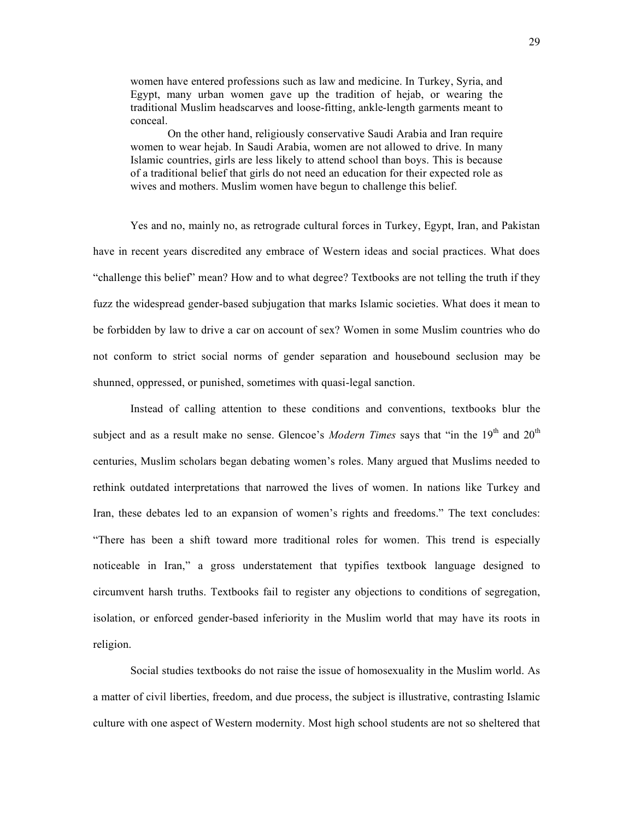women have entered professions such as law and medicine. In Turkey, Syria, and Egypt, many urban women gave up the tradition of hejab, or wearing the traditional Muslim headscarves and loose-fitting, ankle-length garments meant to conceal.

On the other hand, religiously conservative Saudi Arabia and Iran require women to wear hejab. In Saudi Arabia, women are not allowed to drive. In many Islamic countries, girls are less likely to attend school than boys. This is because of a traditional belief that girls do not need an education for their expected role as wives and mothers. Muslim women have begun to challenge this belief.

Yes and no, mainly no, as retrograde cultural forces in Turkey, Egypt, Iran, and Pakistan have in recent years discredited any embrace of Western ideas and social practices. What does "challenge this belief" mean? How and to what degree? Textbooks are not telling the truth if they fuzz the widespread gender-based subjugation that marks Islamic societies. What does it mean to be forbidden by law to drive a car on account of sex? Women in some Muslim countries who do not conform to strict social norms of gender separation and housebound seclusion may be shunned, oppressed, or punished, sometimes with quasi-legal sanction.

Instead of calling attention to these conditions and conventions, textbooks blur the subject and as a result make no sense. Glencoe's *Modern Times* says that "in the 19<sup>th</sup> and 20<sup>th</sup> centuries, Muslim scholars began debating women's roles. Many argued that Muslims needed to rethink outdated interpretations that narrowed the lives of women. In nations like Turkey and Iran, these debates led to an expansion of women's rights and freedoms." The text concludes: "There has been a shift toward more traditional roles for women. This trend is especially noticeable in Iran," a gross understatement that typifies textbook language designed to circumvent harsh truths. Textbooks fail to register any objections to conditions of segregation, isolation, or enforced gender-based inferiority in the Muslim world that may have its roots in religion.

Social studies textbooks do not raise the issue of homosexuality in the Muslim world. As a matter of civil liberties, freedom, and due process, the subject is illustrative, contrasting Islamic culture with one aspect of Western modernity. Most high school students are not so sheltered that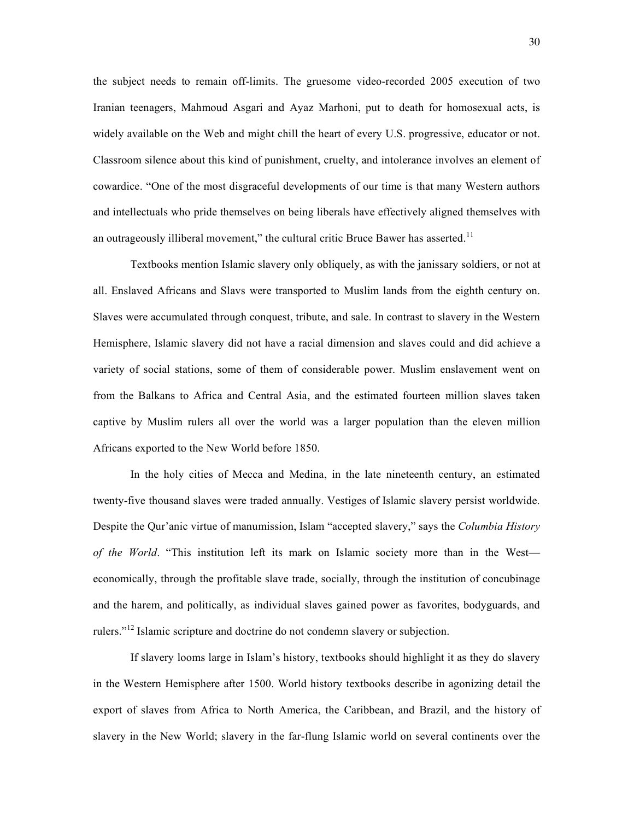the subject needs to remain off-limits. The gruesome video-recorded 2005 execution of two Iranian teenagers, Mahmoud Asgari and Ayaz Marhoni, put to death for homosexual acts, is widely available on the Web and might chill the heart of every U.S. progressive, educator or not. Classroom silence about this kind of punishment, cruelty, and intolerance involves an element of cowardice. "One of the most disgraceful developments of our time is that many Western authors and intellectuals who pride themselves on being liberals have effectively aligned themselves with an outrageously illiberal movement," the cultural critic Bruce Bawer has asserted.<sup>11</sup>

Textbooks mention Islamic slavery only obliquely, as with the janissary soldiers, or not at all. Enslaved Africans and Slavs were transported to Muslim lands from the eighth century on. Slaves were accumulated through conquest, tribute, and sale. In contrast to slavery in the Western Hemisphere, Islamic slavery did not have a racial dimension and slaves could and did achieve a variety of social stations, some of them of considerable power. Muslim enslavement went on from the Balkans to Africa and Central Asia, and the estimated fourteen million slaves taken captive by Muslim rulers all over the world was a larger population than the eleven million Africans exported to the New World before 1850.

In the holy cities of Mecca and Medina, in the late nineteenth century, an estimated twenty-five thousand slaves were traded annually. Vestiges of Islamic slavery persist worldwide. Despite the Qur'anic virtue of manumission, Islam "accepted slavery," says the *Columbia History of the World*. "This institution left its mark on Islamic society more than in the West economically, through the profitable slave trade, socially, through the institution of concubinage and the harem, and politically, as individual slaves gained power as favorites, bodyguards, and rulers."<sup>12</sup> Islamic scripture and doctrine do not condemn slavery or subjection.

If slavery looms large in Islam's history, textbooks should highlight it as they do slavery in the Western Hemisphere after 1500. World history textbooks describe in agonizing detail the export of slaves from Africa to North America, the Caribbean, and Brazil, and the history of slavery in the New World; slavery in the far-flung Islamic world on several continents over the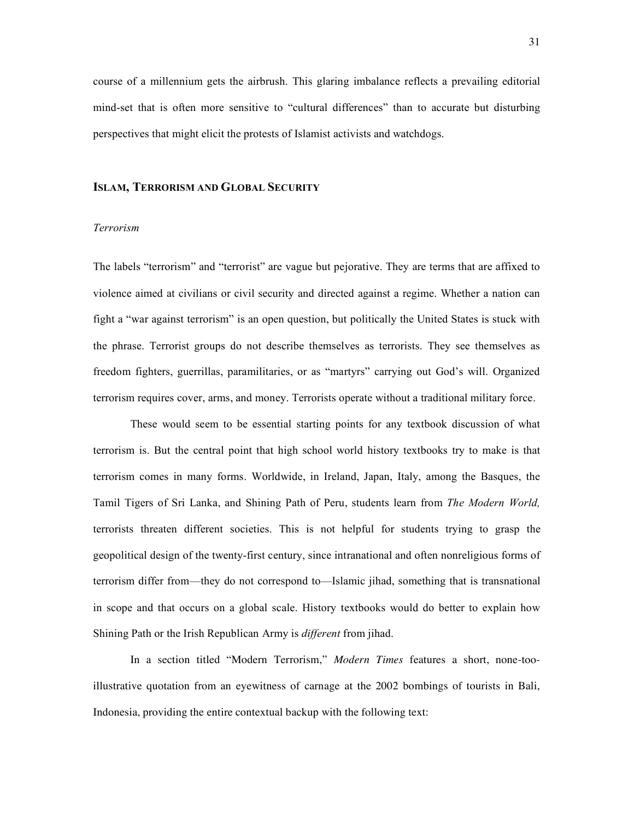course of a millennium gets the airbrush. This glaring imbalance reflects a prevailing editorial mind-set that is often more sensitive to "cultural differences" than to accurate but disturbing perspectives that might elicit the protests of Islamist activists and watchdogs.

### **ISLAM, TERRORISM AND GLOBAL SECURITY**

## *Terrorism*

The labels "terrorism" and "terrorist" are vague but pejorative. They are terms that are affixed to violence aimed at civilians or civil security and directed against a regime. Whether a nation can fight a "war against terrorism" is an open question, but politically the United States is stuck with the phrase. Terrorist groups do not describe themselves as terrorists. They see themselves as freedom fighters, guerrillas, paramilitaries, or as "martyrs" carrying out God's will. Organized terrorism requires cover, arms, and money. Terrorists operate without a traditional military force.

These would seem to be essential starting points for any textbook discussion of what terrorism is. But the central point that high school world history textbooks try to make is that terrorism comes in many forms. Worldwide, in Ireland, Japan, Italy, among the Basques, the Tamil Tigers of Sri Lanka, and Shining Path of Peru, students learn from *The Modern World,* terrorists threaten different societies. This is not helpful for students trying to grasp the geopolitical design of the twenty-first century, since intranational and often nonreligious forms of terrorism differ from—they do not correspond to—Islamic jihad, something that is transnational in scope and that occurs on a global scale. History textbooks would do better to explain how Shining Path or the Irish Republican Army is *different* from jihad.

In a section titled "Modern Terrorism," *Modern Times* features a short, none-tooillustrative quotation from an eyewitness of carnage at the 2002 bombings of tourists in Bali, Indonesia, providing the entire contextual backup with the following text: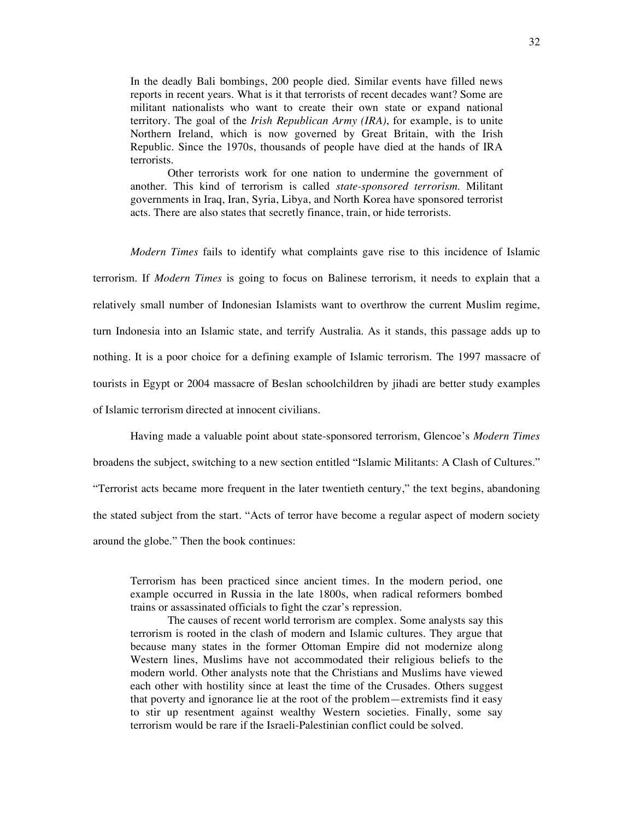In the deadly Bali bombings, 200 people died. Similar events have filled news reports in recent years. What is it that terrorists of recent decades want? Some are militant nationalists who want to create their own state or expand national territory. The goal of the *Irish Republican Army (IRA)*, for example, is to unite Northern Ireland, which is now governed by Great Britain, with the Irish Republic. Since the 1970s, thousands of people have died at the hands of IRA terrorists.

Other terrorists work for one nation to undermine the government of another. This kind of terrorism is called *state-sponsored terrorism*. Militant governments in Iraq, Iran, Syria, Libya, and North Korea have sponsored terrorist acts. There are also states that secretly finance, train, or hide terrorists.

*Modern Times* fails to identify what complaints gave rise to this incidence of Islamic terrorism. If *Modern Times* is going to focus on Balinese terrorism, it needs to explain that a relatively small number of Indonesian Islamists want to overthrow the current Muslim regime, turn Indonesia into an Islamic state, and terrify Australia. As it stands, this passage adds up to nothing. It is a poor choice for a defining example of Islamic terrorism. The 1997 massacre of tourists in Egypt or 2004 massacre of Beslan schoolchildren by jihadi are better study examples of Islamic terrorism directed at innocent civilians.

Having made a valuable point about state-sponsored terrorism, Glencoe's *Modern Times*

broadens the subject, switching to a new section entitled "Islamic Militants: A Clash of Cultures."

"Terrorist acts became more frequent in the later twentieth century," the text begins, abandoning

the stated subject from the start. "Acts of terror have become a regular aspect of modern society

around the globe." Then the book continues:

Terrorism has been practiced since ancient times. In the modern period, one example occurred in Russia in the late 1800s, when radical reformers bombed trains or assassinated officials to fight the czar's repression.

The causes of recent world terrorism are complex. Some analysts say this terrorism is rooted in the clash of modern and Islamic cultures. They argue that because many states in the former Ottoman Empire did not modernize along Western lines, Muslims have not accommodated their religious beliefs to the modern world. Other analysts note that the Christians and Muslims have viewed each other with hostility since at least the time of the Crusades. Others suggest that poverty and ignorance lie at the root of the problem—extremists find it easy to stir up resentment against wealthy Western societies. Finally, some say terrorism would be rare if the Israeli-Palestinian conflict could be solved.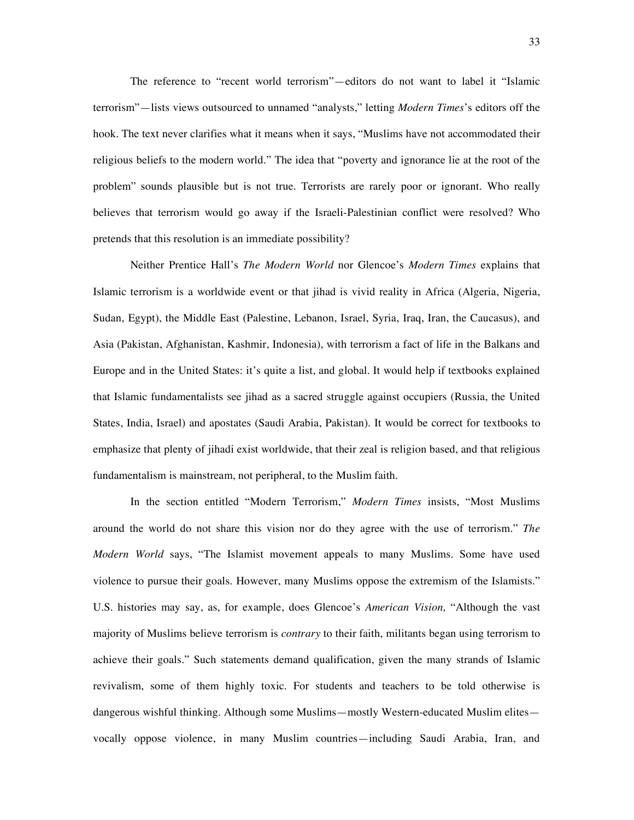The reference to "recent world terrorism"—editors do not want to label it "Islamic terrorism"—lists views outsourced to unnamed "analysts," letting *Modern Times*'s editors off the hook. The text never clarifies what it means when it says, "Muslims have not accommodated their religious beliefs to the modern world." The idea that "poverty and ignorance lie at the root of the problem" sounds plausible but is not true. Terrorists are rarely poor or ignorant. Who really believes that terrorism would go away if the Israeli-Palestinian conflict were resolved? Who pretends that this resolution is an immediate possibility?

Neither Prentice Hall's *The Modern World* nor Glencoe's *Modern Times* explains that Islamic terrorism is a worldwide event or that jihad is vivid reality in Africa (Algeria, Nigeria, Sudan, Egypt), the Middle East (Palestine, Lebanon, Israel, Syria, Iraq, Iran, the Caucasus), and Asia (Pakistan, Afghanistan, Kashmir, Indonesia), with terrorism a fact of life in the Balkans and Europe and in the United States: it's quite a list, and global. It would help if textbooks explained that Islamic fundamentalists see jihad as a sacred struggle against occupiers (Russia, the United States, India, Israel) and apostates (Saudi Arabia, Pakistan). It would be correct for textbooks to emphasize that plenty of jihadi exist worldwide, that their zeal is religion based, and that religious fundamentalism is mainstream, not peripheral, to the Muslim faith.

In the section entitled "Modern Terrorism," *Modern Times* insists, "Most Muslims around the world do not share this vision nor do they agree with the use of terrorism." *The Modern World* says, "The Islamist movement appeals to many Muslims. Some have used violence to pursue their goals. However, many Muslims oppose the extremism of the Islamists." U.S. histories may say, as, for example, does Glencoe's *American Vision,* "Although the vast majority of Muslims believe terrorism is *contrary* to their faith, militants began using terrorism to achieve their goals." Such statements demand qualification, given the many strands of Islamic revivalism, some of them highly toxic. For students and teachers to be told otherwise is dangerous wishful thinking. Although some Muslims—mostly Western-educated Muslim elites vocally oppose violence, in many Muslim countries—including Saudi Arabia, Iran, and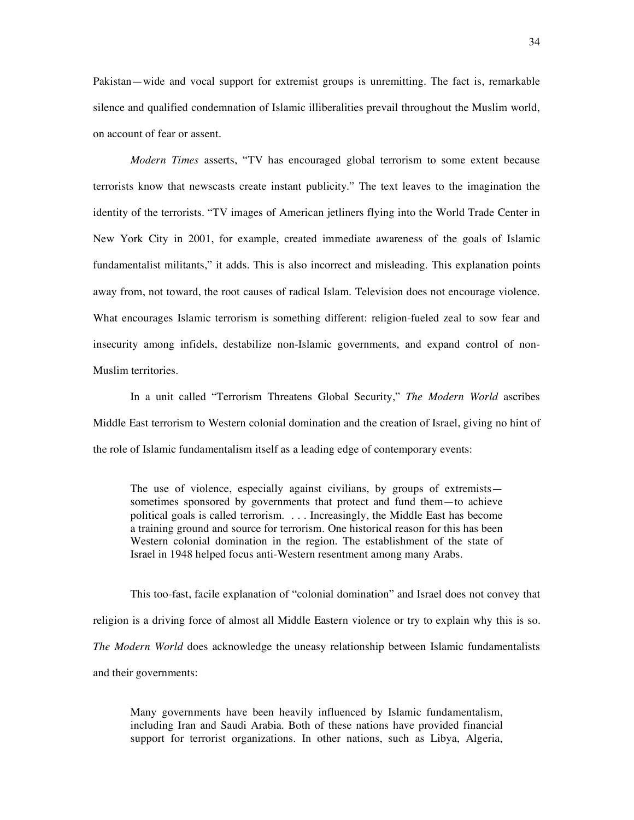Pakistan—wide and vocal support for extremist groups is unremitting. The fact is, remarkable silence and qualified condemnation of Islamic illiberalities prevail throughout the Muslim world, on account of fear or assent.

*Modern Times* asserts, "TV has encouraged global terrorism to some extent because terrorists know that newscasts create instant publicity." The text leaves to the imagination the identity of the terrorists. "TV images of American jetliners flying into the World Trade Center in New York City in 2001, for example, created immediate awareness of the goals of Islamic fundamentalist militants," it adds. This is also incorrect and misleading. This explanation points away from, not toward, the root causes of radical Islam. Television does not encourage violence. What encourages Islamic terrorism is something different: religion-fueled zeal to sow fear and insecurity among infidels, destabilize non-Islamic governments, and expand control of non-Muslim territories.

In a unit called "Terrorism Threatens Global Security," *The Modern World* ascribes Middle East terrorism to Western colonial domination and the creation of Israel, giving no hint of the role of Islamic fundamentalism itself as a leading edge of contemporary events:

The use of violence, especially against civilians, by groups of extremists sometimes sponsored by governments that protect and fund them—to achieve political goals is called terrorism. . . . Increasingly, the Middle East has become a training ground and source for terrorism. One historical reason for this has been Western colonial domination in the region. The establishment of the state of Israel in 1948 helped focus anti-Western resentment among many Arabs.

This too-fast, facile explanation of "colonial domination" and Israel does not convey that religion is a driving force of almost all Middle Eastern violence or try to explain why this is so. *The Modern World* does acknowledge the uneasy relationship between Islamic fundamentalists and their governments:

Many governments have been heavily influenced by Islamic fundamentalism, including Iran and Saudi Arabia. Both of these nations have provided financial support for terrorist organizations. In other nations, such as Libya, Algeria,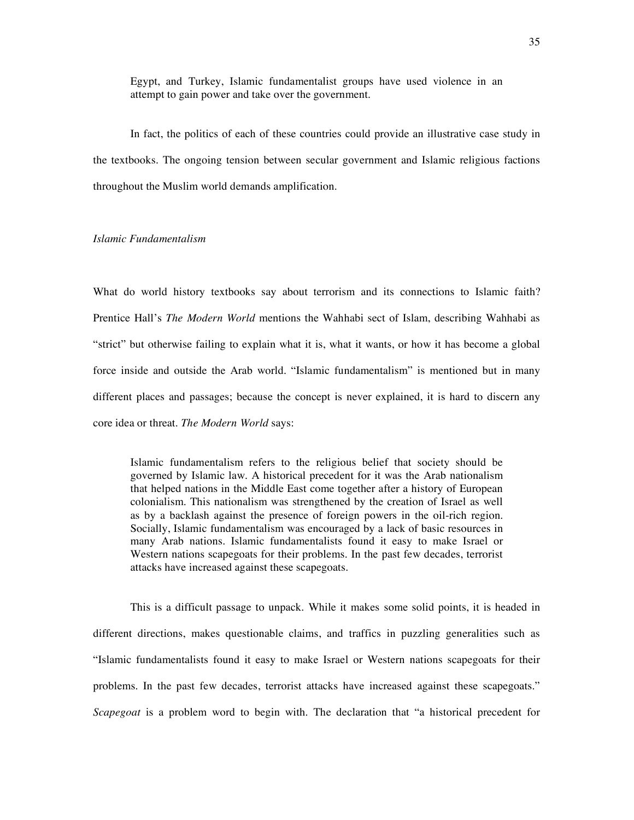Egypt, and Turkey, Islamic fundamentalist groups have used violence in an attempt to gain power and take over the government.

In fact, the politics of each of these countries could provide an illustrative case study in the textbooks. The ongoing tension between secular government and Islamic religious factions throughout the Muslim world demands amplification.

#### *Islamic Fundamentalism*

What do world history textbooks say about terrorism and its connections to Islamic faith? Prentice Hall's *The Modern World* mentions the Wahhabi sect of Islam, describing Wahhabi as "strict" but otherwise failing to explain what it is, what it wants, or how it has become a global force inside and outside the Arab world. "Islamic fundamentalism" is mentioned but in many different places and passages; because the concept is never explained, it is hard to discern any core idea or threat. *The Modern World* says:

Islamic fundamentalism refers to the religious belief that society should be governed by Islamic law. A historical precedent for it was the Arab nationalism that helped nations in the Middle East come together after a history of European colonialism. This nationalism was strengthened by the creation of Israel as well as by a backlash against the presence of foreign powers in the oil-rich region. Socially, Islamic fundamentalism was encouraged by a lack of basic resources in many Arab nations. Islamic fundamentalists found it easy to make Israel or Western nations scapegoats for their problems. In the past few decades, terrorist attacks have increased against these scapegoats.

This is a difficult passage to unpack. While it makes some solid points, it is headed in different directions, makes questionable claims, and traffics in puzzling generalities such as "Islamic fundamentalists found it easy to make Israel or Western nations scapegoats for their problems. In the past few decades, terrorist attacks have increased against these scapegoats." *Scapegoat* is a problem word to begin with. The declaration that "a historical precedent for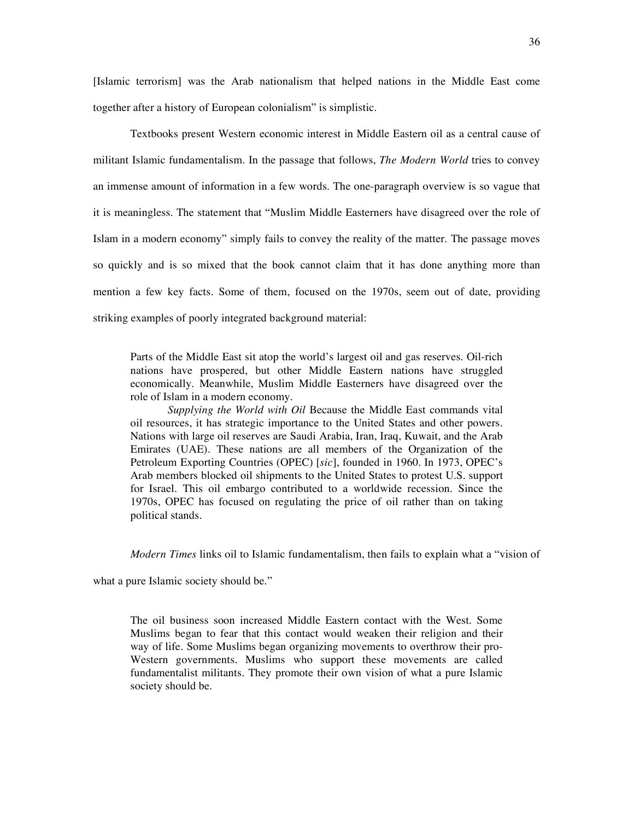[Islamic terrorism] was the Arab nationalism that helped nations in the Middle East come together after a history of European colonialism" is simplistic.

Textbooks present Western economic interest in Middle Eastern oil as a central cause of militant Islamic fundamentalism. In the passage that follows, *The Modern World* tries to convey an immense amount of information in a few words. The one-paragraph overview is so vague that it is meaningless. The statement that "Muslim Middle Easterners have disagreed over the role of Islam in a modern economy" simply fails to convey the reality of the matter. The passage moves so quickly and is so mixed that the book cannot claim that it has done anything more than mention a few key facts. Some of them, focused on the 1970s, seem out of date, providing striking examples of poorly integrated background material:

Parts of the Middle East sit atop the world's largest oil and gas reserves. Oil-rich nations have prospered, but other Middle Eastern nations have struggled economically. Meanwhile, Muslim Middle Easterners have disagreed over the role of Islam in a modern economy.

*Supplying the World with Oil* Because the Middle East commands vital oil resources, it has strategic importance to the United States and other powers. Nations with large oil reserves are Saudi Arabia, Iran, Iraq, Kuwait, and the Arab Emirates (UAE). These nations are all members of the Organization of the Petroleum Exporting Countries (OPEC) [*sic*], founded in 1960. In 1973, OPEC's Arab members blocked oil shipments to the United States to protest U.S. support for Israel. This oil embargo contributed to a worldwide recession. Since the 1970s, OPEC has focused on regulating the price of oil rather than on taking political stands.

*Modern Times* links oil to Islamic fundamentalism, then fails to explain what a "vision of

what a pure Islamic society should be."

The oil business soon increased Middle Eastern contact with the West. Some Muslims began to fear that this contact would weaken their religion and their way of life. Some Muslims began organizing movements to overthrow their pro-Western governments. Muslims who support these movements are called fundamentalist militants. They promote their own vision of what a pure Islamic society should be.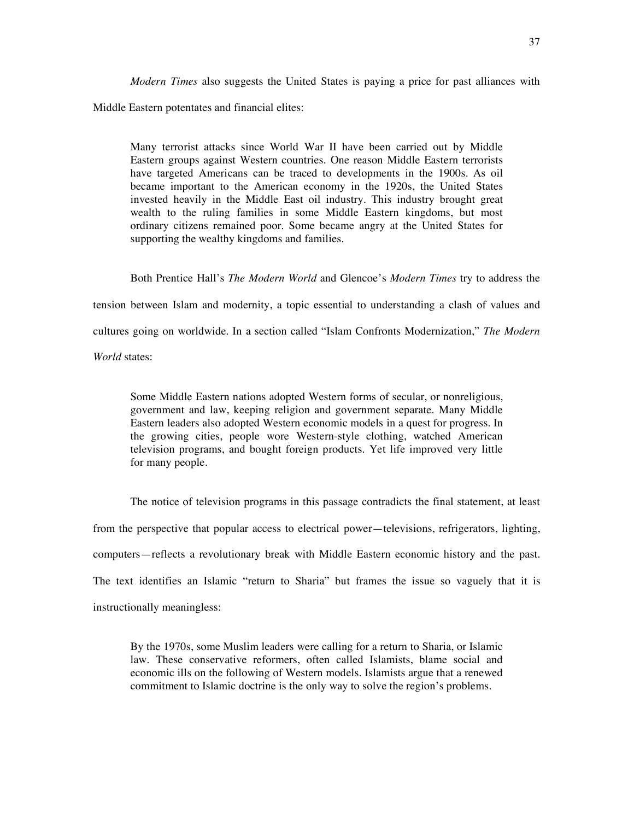*Modern Times* also suggests the United States is paying a price for past alliances with Middle Eastern potentates and financial elites:

Many terrorist attacks since World War II have been carried out by Middle Eastern groups against Western countries. One reason Middle Eastern terrorists have targeted Americans can be traced to developments in the 1900s. As oil became important to the American economy in the 1920s, the United States invested heavily in the Middle East oil industry. This industry brought great wealth to the ruling families in some Middle Eastern kingdoms, but most ordinary citizens remained poor. Some became angry at the United States for supporting the wealthy kingdoms and families.

Both Prentice Hall's *The Modern World* and Glencoe's *Modern Times* try to address the

tension between Islam and modernity, a topic essential to understanding a clash of values and

cultures going on worldwide. In a section called "Islam Confronts Modernization," *The Modern*

*World* states:

Some Middle Eastern nations adopted Western forms of secular, or nonreligious, government and law, keeping religion and government separate. Many Middle Eastern leaders also adopted Western economic models in a quest for progress. In the growing cities, people wore Western-style clothing, watched American television programs, and bought foreign products. Yet life improved very little for many people.

The notice of television programs in this passage contradicts the final statement, at least from the perspective that popular access to electrical power—televisions, refrigerators, lighting, computers—reflects a revolutionary break with Middle Eastern economic history and the past. The text identifies an Islamic "return to Sharia" but frames the issue so vaguely that it is instructionally meaningless:

By the 1970s, some Muslim leaders were calling for a return to Sharia, or Islamic law. These conservative reformers, often called Islamists, blame social and economic ills on the following of Western models. Islamists argue that a renewed commitment to Islamic doctrine is the only way to solve the region's problems.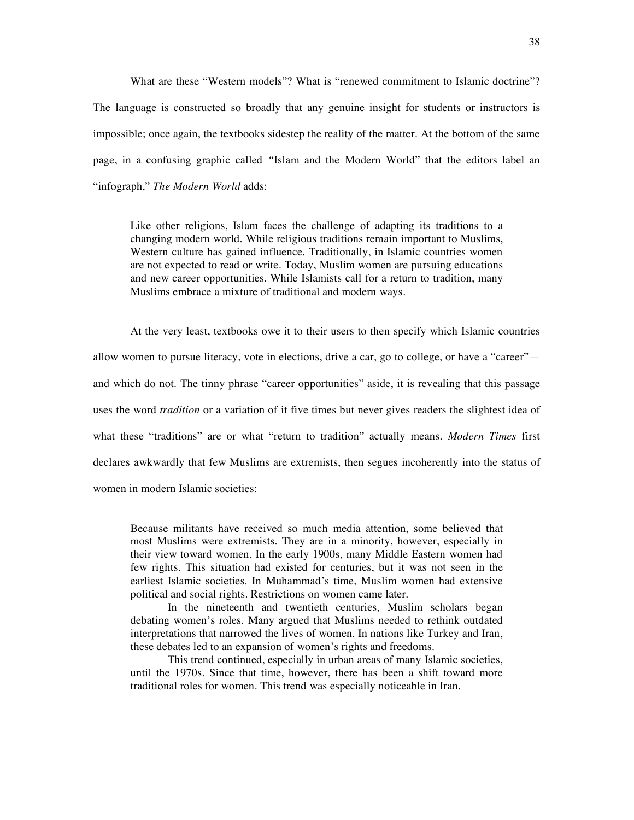What are these "Western models"? What is "renewed commitment to Islamic doctrine"? The language is constructed so broadly that any genuine insight for students or instructors is impossible; once again, the textbooks sidestep the reality of the matter. At the bottom of the same page, in a confusing graphic called *"*Islam and the Modern World" that the editors label an "infograph," *The Modern World* adds:

Like other religions, Islam faces the challenge of adapting its traditions to a changing modern world. While religious traditions remain important to Muslims, Western culture has gained influence. Traditionally, in Islamic countries women are not expected to read or write. Today, Muslim women are pursuing educations and new career opportunities. While Islamists call for a return to tradition, many Muslims embrace a mixture of traditional and modern ways.

At the very least, textbooks owe it to their users to then specify which Islamic countries allow women to pursue literacy, vote in elections, drive a car, go to college, or have a "career" and which do not. The tinny phrase "career opportunities" aside, it is revealing that this passage uses the word *tradition* or a variation of it five times but never gives readers the slightest idea of what these "traditions" are or what "return to tradition" actually means. *Modern Times* first declares awkwardly that few Muslims are extremists, then segues incoherently into the status of women in modern Islamic societies:

Because militants have received so much media attention, some believed that most Muslims were extremists. They are in a minority, however, especially in their view toward women. In the early 1900s, many Middle Eastern women had few rights. This situation had existed for centuries, but it was not seen in the earliest Islamic societies. In Muhammad's time, Muslim women had extensive political and social rights. Restrictions on women came later.

In the nineteenth and twentieth centuries, Muslim scholars began debating women's roles. Many argued that Muslims needed to rethink outdated interpretations that narrowed the lives of women. In nations like Turkey and Iran, these debates led to an expansion of women's rights and freedoms.

This trend continued, especially in urban areas of many Islamic societies, until the 1970s. Since that time, however, there has been a shift toward more traditional roles for women. This trend was especially noticeable in Iran.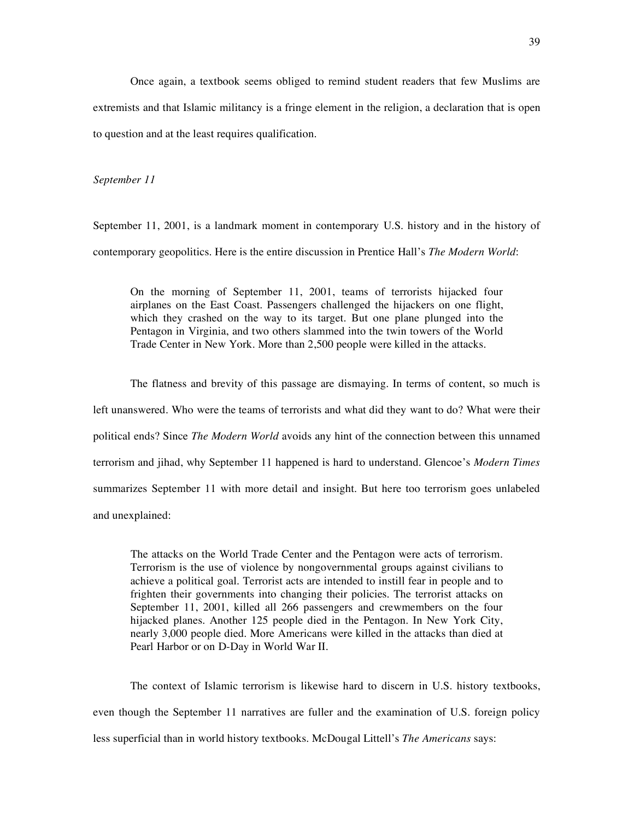Once again, a textbook seems obliged to remind student readers that few Muslims are extremists and that Islamic militancy is a fringe element in the religion, a declaration that is open to question and at the least requires qualification.

*September 11*

September 11, 2001, is a landmark moment in contemporary U.S. history and in the history of contemporary geopolitics. Here is the entire discussion in Prentice Hall's *The Modern World*:

On the morning of September 11, 2001, teams of terrorists hijacked four airplanes on the East Coast. Passengers challenged the hijackers on one flight, which they crashed on the way to its target. But one plane plunged into the Pentagon in Virginia, and two others slammed into the twin towers of the World Trade Center in New York. More than 2,500 people were killed in the attacks.

The flatness and brevity of this passage are dismaying. In terms of content, so much is left unanswered. Who were the teams of terrorists and what did they want to do? What were their political ends? Since *The Modern World* avoids any hint of the connection between this unnamed terrorism and jihad, why September 11 happened is hard to understand. Glencoe's *Modern Times* summarizes September 11 with more detail and insight. But here too terrorism goes unlabeled and unexplained:

The attacks on the World Trade Center and the Pentagon were acts of terrorism. Terrorism is the use of violence by nongovernmental groups against civilians to achieve a political goal. Terrorist acts are intended to instill fear in people and to frighten their governments into changing their policies. The terrorist attacks on September 11, 2001, killed all 266 passengers and crewmembers on the four hijacked planes. Another 125 people died in the Pentagon. In New York City, nearly 3,000 people died. More Americans were killed in the attacks than died at Pearl Harbor or on D-Day in World War II.

The context of Islamic terrorism is likewise hard to discern in U.S. history textbooks, even though the September 11 narratives are fuller and the examination of U.S. foreign policy less superficial than in world history textbooks. McDougal Littell's *The Americans* says: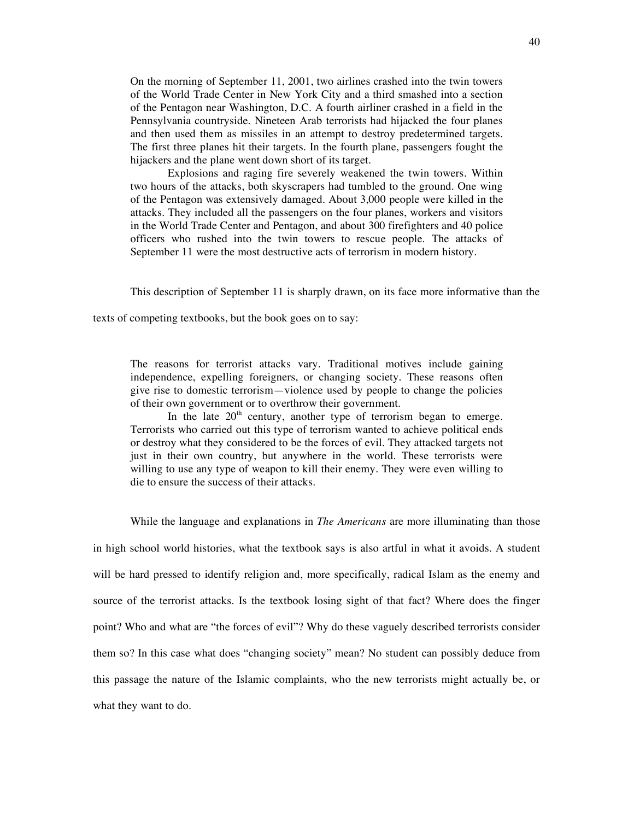On the morning of September 11, 2001, two airlines crashed into the twin towers of the World Trade Center in New York City and a third smashed into a section of the Pentagon near Washington, D.C. A fourth airliner crashed in a field in the Pennsylvania countryside. Nineteen Arab terrorists had hijacked the four planes and then used them as missiles in an attempt to destroy predetermined targets. The first three planes hit their targets. In the fourth plane, passengers fought the hijackers and the plane went down short of its target.

Explosions and raging fire severely weakened the twin towers. Within two hours of the attacks, both skyscrapers had tumbled to the ground. One wing of the Pentagon was extensively damaged. About 3,000 people were killed in the attacks. They included all the passengers on the four planes, workers and visitors in the World Trade Center and Pentagon, and about 300 firefighters and 40 police officers who rushed into the twin towers to rescue people. The attacks of September 11 were the most destructive acts of terrorism in modern history.

This description of September 11 is sharply drawn, on its face more informative than the

texts of competing textbooks, but the book goes on to say:

The reasons for terrorist attacks vary. Traditional motives include gaining independence, expelling foreigners, or changing society. These reasons often give rise to domestic terrorism—violence used by people to change the policies of their own government or to overthrow their government.

In the late  $20<sup>th</sup>$  century, another type of terrorism began to emerge. Terrorists who carried out this type of terrorism wanted to achieve political ends or destroy what they considered to be the forces of evil. They attacked targets not just in their own country, but anywhere in the world. These terrorists were willing to use any type of weapon to kill their enemy. They were even willing to die to ensure the success of their attacks.

While the language and explanations in *The Americans* are more illuminating than those

in high school world histories, what the textbook says is also artful in what it avoids. A student will be hard pressed to identify religion and, more specifically, radical Islam as the enemy and source of the terrorist attacks. Is the textbook losing sight of that fact? Where does the finger point? Who and what are "the forces of evil"? Why do these vaguely described terrorists consider them so? In this case what does "changing society" mean? No student can possibly deduce from this passage the nature of the Islamic complaints, who the new terrorists might actually be, or what they want to do.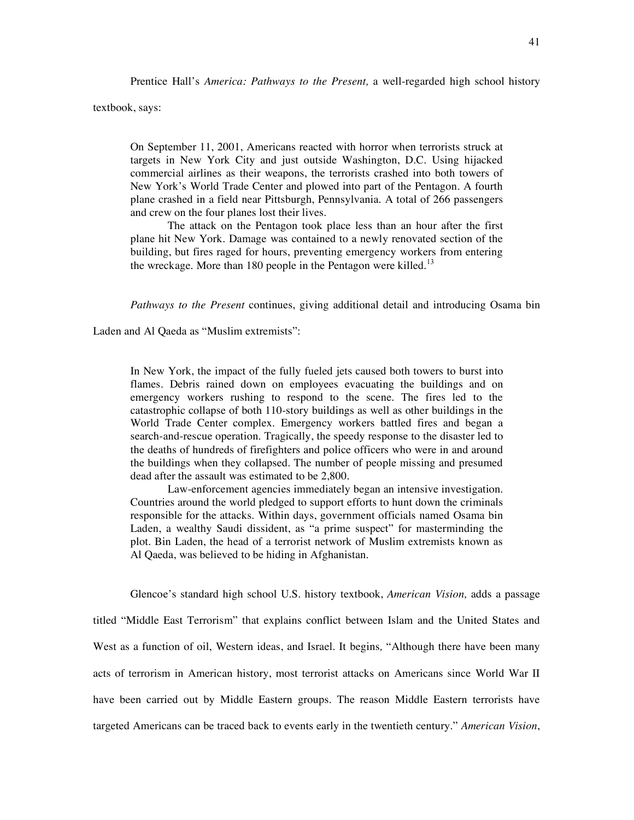Prentice Hall's *America: Pathways to the Present,* a well-regarded high school history

textbook, says:

On September 11, 2001, Americans reacted with horror when terrorists struck at targets in New York City and just outside Washington, D.C. Using hijacked commercial airlines as their weapons, the terrorists crashed into both towers of New York's World Trade Center and plowed into part of the Pentagon. A fourth plane crashed in a field near Pittsburgh, Pennsylvania. A total of 266 passengers and crew on the four planes lost their lives.

The attack on the Pentagon took place less than an hour after the first plane hit New York. Damage was contained to a newly renovated section of the building, but fires raged for hours, preventing emergency workers from entering the wreckage. More than 180 people in the Pentagon were killed.<sup>13</sup>

*Pathways to the Present* continues, giving additional detail and introducing Osama bin

Laden and Al Qaeda as "Muslim extremists":

In New York, the impact of the fully fueled jets caused both towers to burst into flames. Debris rained down on employees evacuating the buildings and on emergency workers rushing to respond to the scene. The fires led to the catastrophic collapse of both 110-story buildings as well as other buildings in the World Trade Center complex. Emergency workers battled fires and began a search-and-rescue operation. Tragically, the speedy response to the disaster led to the deaths of hundreds of firefighters and police officers who were in and around the buildings when they collapsed. The number of people missing and presumed dead after the assault was estimated to be 2,800.

Law-enforcement agencies immediately began an intensive investigation. Countries around the world pledged to support efforts to hunt down the criminals responsible for the attacks. Within days, government officials named Osama bin Laden, a wealthy Saudi dissident, as "a prime suspect" for masterminding the plot. Bin Laden, the head of a terrorist network of Muslim extremists known as Al Qaeda, was believed to be hiding in Afghanistan.

Glencoe's standard high school U.S. history textbook, *American Vision,* adds a passage titled "Middle East Terrorism" that explains conflict between Islam and the United States and West as a function of oil, Western ideas, and Israel. It begins*,* "Although there have been many acts of terrorism in American history, most terrorist attacks on Americans since World War II have been carried out by Middle Eastern groups. The reason Middle Eastern terrorists have targeted Americans can be traced back to events early in the twentieth century." *American Vision*,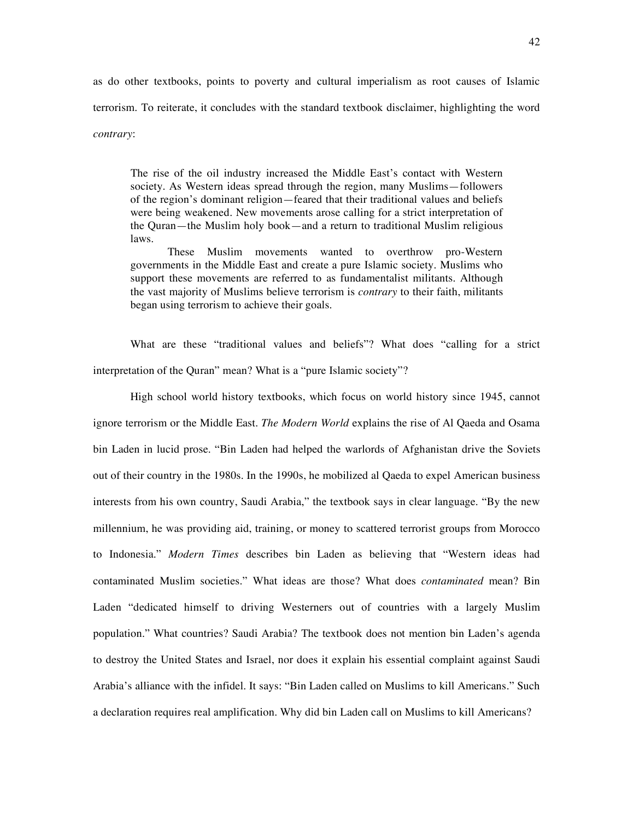as do other textbooks, points to poverty and cultural imperialism as root causes of Islamic terrorism. To reiterate, it concludes with the standard textbook disclaimer, highlighting the word *contrary*:

The rise of the oil industry increased the Middle East's contact with Western society. As Western ideas spread through the region, many Muslims—followers of the region's dominant religion—feared that their traditional values and beliefs were being weakened. New movements arose calling for a strict interpretation of the Quran—the Muslim holy book—and a return to traditional Muslim religious laws.

These Muslim movements wanted to overthrow pro-Western governments in the Middle East and create a pure Islamic society. Muslims who support these movements are referred to as fundamentalist militants. Although the vast majority of Muslims believe terrorism is *contrary* to their faith, militants began using terrorism to achieve their goals.

What are these "traditional values and beliefs"? What does "calling for a strict interpretation of the Quran" mean? What is a "pure Islamic society"?

High school world history textbooks, which focus on world history since 1945, cannot ignore terrorism or the Middle East. *The Modern World* explains the rise of Al Qaeda and Osama bin Laden in lucid prose. "Bin Laden had helped the warlords of Afghanistan drive the Soviets out of their country in the 1980s. In the 1990s, he mobilized al Qaeda to expel American business interests from his own country, Saudi Arabia," the textbook says in clear language. "By the new millennium, he was providing aid, training, or money to scattered terrorist groups from Morocco to Indonesia." *Modern Times* describes bin Laden as believing that "Western ideas had contaminated Muslim societies." What ideas are those? What does *contaminated* mean? Bin Laden "dedicated himself to driving Westerners out of countries with a largely Muslim population." What countries? Saudi Arabia? The textbook does not mention bin Laden's agenda to destroy the United States and Israel, nor does it explain his essential complaint against Saudi Arabia's alliance with the infidel. It says: "Bin Laden called on Muslims to kill Americans." Such a declaration requires real amplification. Why did bin Laden call on Muslims to kill Americans?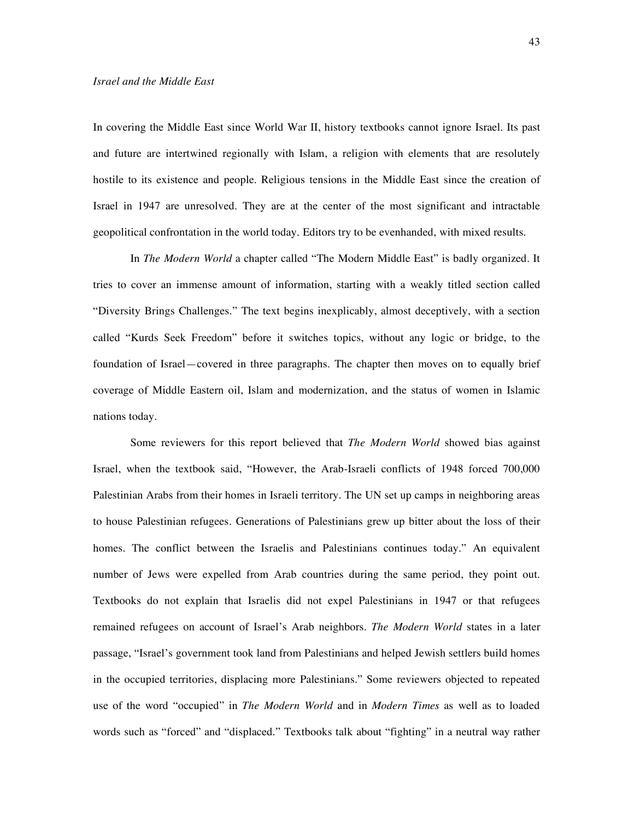In covering the Middle East since World War II, history textbooks cannot ignore Israel. Its past and future are intertwined regionally with Islam, a religion with elements that are resolutely hostile to its existence and people. Religious tensions in the Middle East since the creation of Israel in 1947 are unresolved. They are at the center of the most significant and intractable geopolitical confrontation in the world today. Editors try to be evenhanded, with mixed results.

In *The Modern World* a chapter called "The Modern Middle East" is badly organized. It tries to cover an immense amount of information, starting with a weakly titled section called "Diversity Brings Challenges." The text begins inexplicably, almost deceptively, with a section called "Kurds Seek Freedom" before it switches topics, without any logic or bridge, to the foundation of Israel—covered in three paragraphs. The chapter then moves on to equally brief coverage of Middle Eastern oil, Islam and modernization, and the status of women in Islamic nations today.

Some reviewers for this report believed that *The Modern World* showed bias against Israel, when the textbook said, "However, the Arab-Israeli conflicts of 1948 forced 700,000 Palestinian Arabs from their homes in Israeli territory. The UN set up camps in neighboring areas to house Palestinian refugees. Generations of Palestinians grew up bitter about the loss of their homes. The conflict between the Israelis and Palestinians continues today." An equivalent number of Jews were expelled from Arab countries during the same period, they point out. Textbooks do not explain that Israelis did not expel Palestinians in 1947 or that refugees remained refugees on account of Israel's Arab neighbors. *The Modern World* states in a later passage, "Israel's government took land from Palestinians and helped Jewish settlers build homes in the occupied territories, displacing more Palestinians." Some reviewers objected to repeated use of the word "occupied" in *The Modern World* and in *Modern Times* as well as to loaded words such as "forced" and "displaced." Textbooks talk about "fighting" in a neutral way rather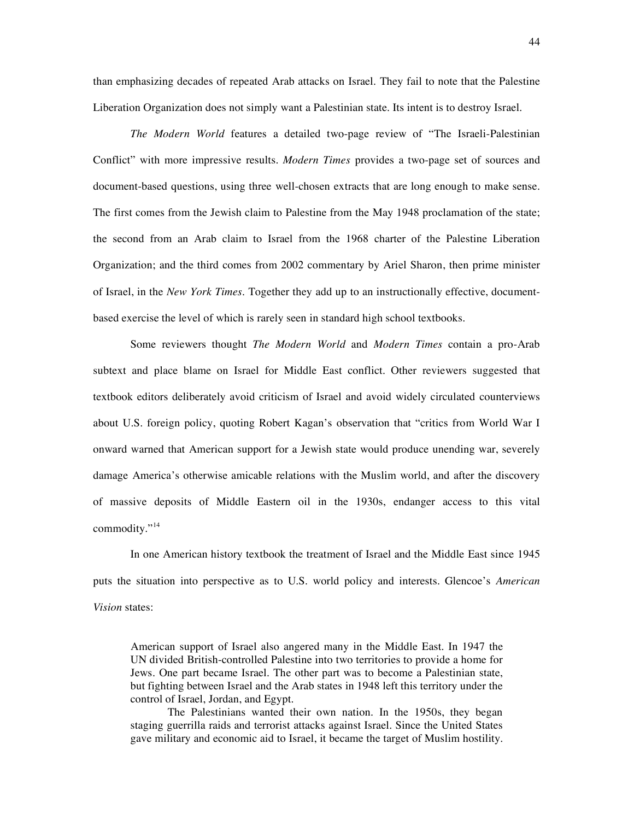than emphasizing decades of repeated Arab attacks on Israel. They fail to note that the Palestine Liberation Organization does not simply want a Palestinian state. Its intent is to destroy Israel.

*The Modern World* features a detailed two-page review of "The Israeli-Palestinian Conflict" with more impressive results. *Modern Times* provides a two-page set of sources and document-based questions, using three well-chosen extracts that are long enough to make sense. The first comes from the Jewish claim to Palestine from the May 1948 proclamation of the state; the second from an Arab claim to Israel from the 1968 charter of the Palestine Liberation Organization; and the third comes from 2002 commentary by Ariel Sharon, then prime minister of Israel, in the *New York Times.* Together they add up to an instructionally effective, documentbased exercise the level of which is rarely seen in standard high school textbooks.

Some reviewers thought *The Modern World* and *Modern Times* contain a pro-Arab subtext and place blame on Israel for Middle East conflict. Other reviewers suggested that textbook editors deliberately avoid criticism of Israel and avoid widely circulated counterviews about U.S. foreign policy, quoting Robert Kagan's observation that "critics from World War I onward warned that American support for a Jewish state would produce unending war, severely damage America's otherwise amicable relations with the Muslim world, and after the discovery of massive deposits of Middle Eastern oil in the 1930s, endanger access to this vital commodity."<sup>14</sup>

In one American history textbook the treatment of Israel and the Middle East since 1945 puts the situation into perspective as to U.S. world policy and interests. Glencoe's *American Vision* states:

American support of Israel also angered many in the Middle East. In 1947 the UN divided British-controlled Palestine into two territories to provide a home for Jews. One part became Israel. The other part was to become a Palestinian state, but fighting between Israel and the Arab states in 1948 left this territory under the control of Israel, Jordan, and Egypt.

The Palestinians wanted their own nation. In the 1950s, they began staging guerrilla raids and terrorist attacks against Israel. Since the United States gave military and economic aid to Israel, it became the target of Muslim hostility.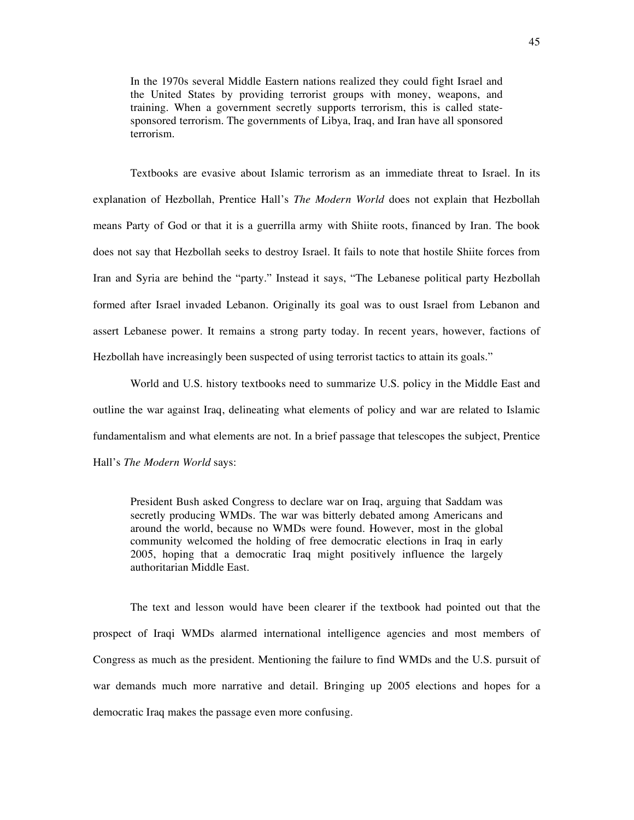In the 1970s several Middle Eastern nations realized they could fight Israel and the United States by providing terrorist groups with money, weapons, and training. When a government secretly supports terrorism, this is called statesponsored terrorism. The governments of Libya, Iraq, and Iran have all sponsored terrorism.

Textbooks are evasive about Islamic terrorism as an immediate threat to Israel. In its explanation of Hezbollah, Prentice Hall's *The Modern World* does not explain that Hezbollah means Party of God or that it is a guerrilla army with Shiite roots, financed by Iran. The book does not say that Hezbollah seeks to destroy Israel. It fails to note that hostile Shiite forces from Iran and Syria are behind the "party." Instead it says, "The Lebanese political party Hezbollah formed after Israel invaded Lebanon. Originally its goal was to oust Israel from Lebanon and assert Lebanese power. It remains a strong party today. In recent years, however, factions of Hezbollah have increasingly been suspected of using terrorist tactics to attain its goals."

World and U.S. history textbooks need to summarize U.S. policy in the Middle East and outline the war against Iraq, delineating what elements of policy and war are related to Islamic fundamentalism and what elements are not. In a brief passage that telescopes the subject, Prentice Hall's *The Modern World* says:

President Bush asked Congress to declare war on Iraq, arguing that Saddam was secretly producing WMDs. The war was bitterly debated among Americans and around the world, because no WMDs were found. However, most in the global community welcomed the holding of free democratic elections in Iraq in early 2005, hoping that a democratic Iraq might positively influence the largely authoritarian Middle East.

The text and lesson would have been clearer if the textbook had pointed out that the prospect of Iraqi WMDs alarmed international intelligence agencies and most members of Congress as much as the president. Mentioning the failure to find WMDs and the U.S. pursuit of war demands much more narrative and detail. Bringing up 2005 elections and hopes for a democratic Iraq makes the passage even more confusing.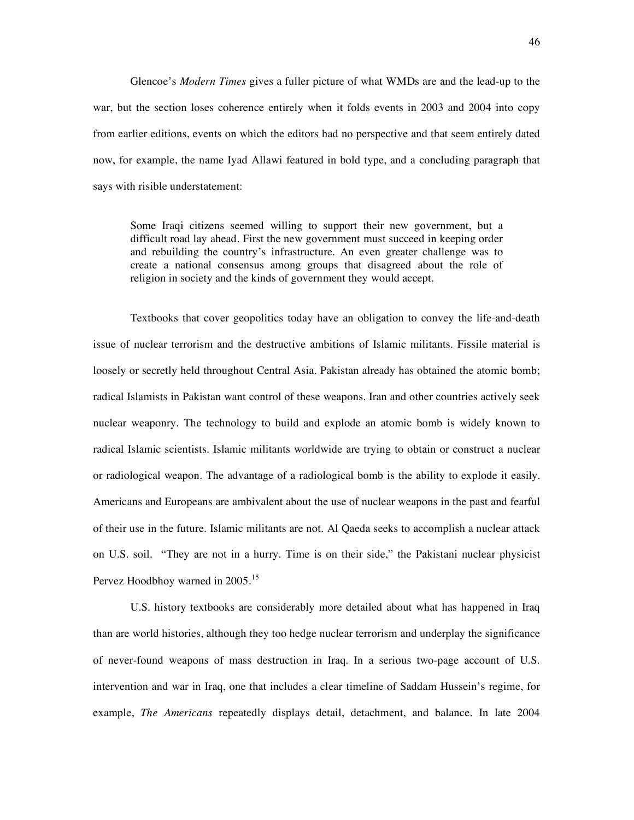Glencoe's *Modern Times* gives a fuller picture of what WMDs are and the lead-up to the war, but the section loses coherence entirely when it folds events in 2003 and 2004 into copy from earlier editions, events on which the editors had no perspective and that seem entirely dated now, for example, the name Iyad Allawi featured in bold type, and a concluding paragraph that says with risible understatement:

Some Iraqi citizens seemed willing to support their new government, but a difficult road lay ahead. First the new government must succeed in keeping order and rebuilding the country's infrastructure. An even greater challenge was to create a national consensus among groups that disagreed about the role of religion in society and the kinds of government they would accept.

Textbooks that cover geopolitics today have an obligation to convey the life-and-death issue of nuclear terrorism and the destructive ambitions of Islamic militants. Fissile material is loosely or secretly held throughout Central Asia. Pakistan already has obtained the atomic bomb; radical Islamists in Pakistan want control of these weapons. Iran and other countries actively seek nuclear weaponry. The technology to build and explode an atomic bomb is widely known to radical Islamic scientists. Islamic militants worldwide are trying to obtain or construct a nuclear or radiological weapon. The advantage of a radiological bomb is the ability to explode it easily. Americans and Europeans are ambivalent about the use of nuclear weapons in the past and fearful of their use in the future. Islamic militants are not. Al Qaeda seeks to accomplish a nuclear attack on U.S. soil. "They are not in a hurry. Time is on their side," the Pakistani nuclear physicist Pervez Hoodbhoy warned in 2005.<sup>15</sup>

U.S. history textbooks are considerably more detailed about what has happened in Iraq than are world histories, although they too hedge nuclear terrorism and underplay the significance of never-found weapons of mass destruction in Iraq. In a serious two-page account of U.S. intervention and war in Iraq, one that includes a clear timeline of Saddam Hussein's regime, for example, *The Americans* repeatedly displays detail, detachment, and balance. In late 2004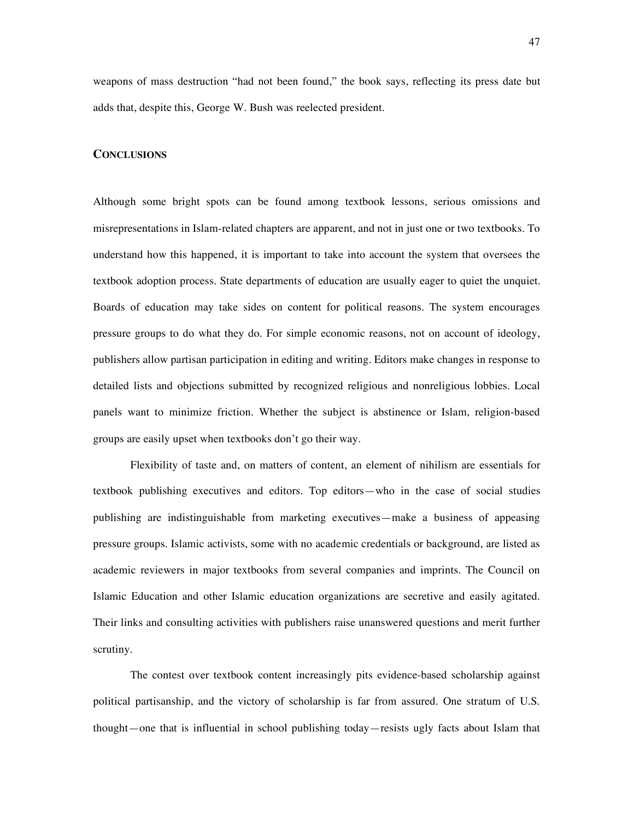weapons of mass destruction "had not been found," the book says, reflecting its press date but adds that, despite this, George W. Bush was reelected president.

#### **CONCLUSIONS**

Although some bright spots can be found among textbook lessons, serious omissions and misrepresentations in Islam-related chapters are apparent, and not in just one or two textbooks. To understand how this happened, it is important to take into account the system that oversees the textbook adoption process. State departments of education are usually eager to quiet the unquiet. Boards of education may take sides on content for political reasons. The system encourages pressure groups to do what they do. For simple economic reasons, not on account of ideology, publishers allow partisan participation in editing and writing. Editors make changes in response to detailed lists and objections submitted by recognized religious and nonreligious lobbies. Local panels want to minimize friction. Whether the subject is abstinence or Islam, religion-based groups are easily upset when textbooks don't go their way.

Flexibility of taste and, on matters of content, an element of nihilism are essentials for textbook publishing executives and editors. Top editors—who in the case of social studies publishing are indistinguishable from marketing executives—make a business of appeasing pressure groups. Islamic activists, some with no academic credentials or background, are listed as academic reviewers in major textbooks from several companies and imprints. The Council on Islamic Education and other Islamic education organizations are secretive and easily agitated. Their links and consulting activities with publishers raise unanswered questions and merit further scrutiny.

The contest over textbook content increasingly pits evidence-based scholarship against political partisanship, and the victory of scholarship is far from assured. One stratum of U.S. thought—one that is influential in school publishing today—resists ugly facts about Islam that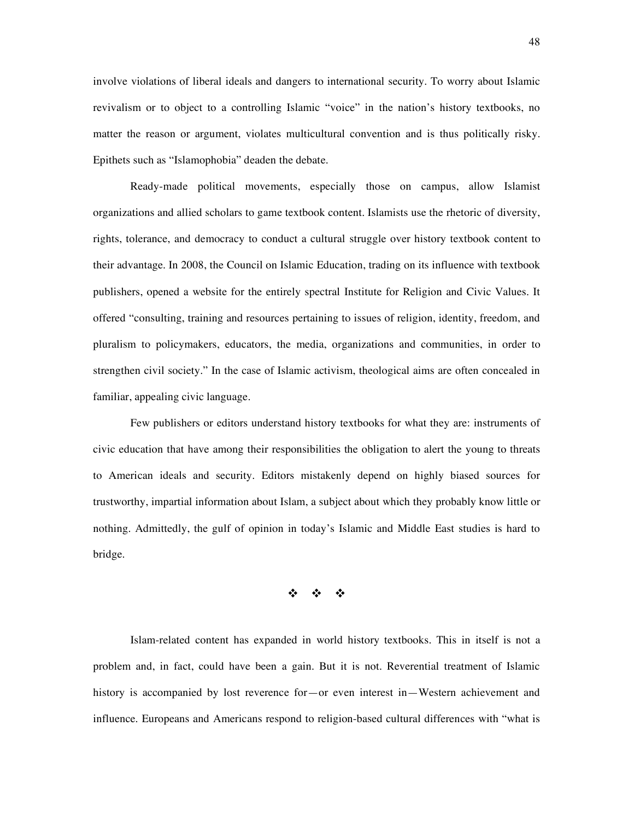involve violations of liberal ideals and dangers to international security. To worry about Islamic revivalism or to object to a controlling Islamic "voice" in the nation's history textbooks, no matter the reason or argument, violates multicultural convention and is thus politically risky. Epithets such as "Islamophobia" deaden the debate.

Ready-made political movements, especially those on campus, allow Islamist organizations and allied scholars to game textbook content. Islamists use the rhetoric of diversity, rights, tolerance, and democracy to conduct a cultural struggle over history textbook content to their advantage. In 2008, the Council on Islamic Education, trading on its influence with textbook publishers, opened a website for the entirely spectral Institute for Religion and Civic Values. It offered "consulting, training and resources pertaining to issues of religion, identity, freedom, and pluralism to policymakers, educators, the media, organizations and communities, in order to strengthen civil society." In the case of Islamic activism, theological aims are often concealed in familiar, appealing civic language.

Few publishers or editors understand history textbooks for what they are: instruments of civic education that have among their responsibilities the obligation to alert the young to threats to American ideals and security. Editors mistakenly depend on highly biased sources for trustworthy, impartial information about Islam, a subject about which they probably know little or nothing. Admittedly, the gulf of opinion in today's Islamic and Middle East studies is hard to bridge.

# $\Phi = \Phi = \Phi$

Islam-related content has expanded in world history textbooks. This in itself is not a problem and, in fact, could have been a gain. But it is not. Reverential treatment of Islamic history is accompanied by lost reverence for—or even interest in—Western achievement and influence. Europeans and Americans respond to religion-based cultural differences with "what is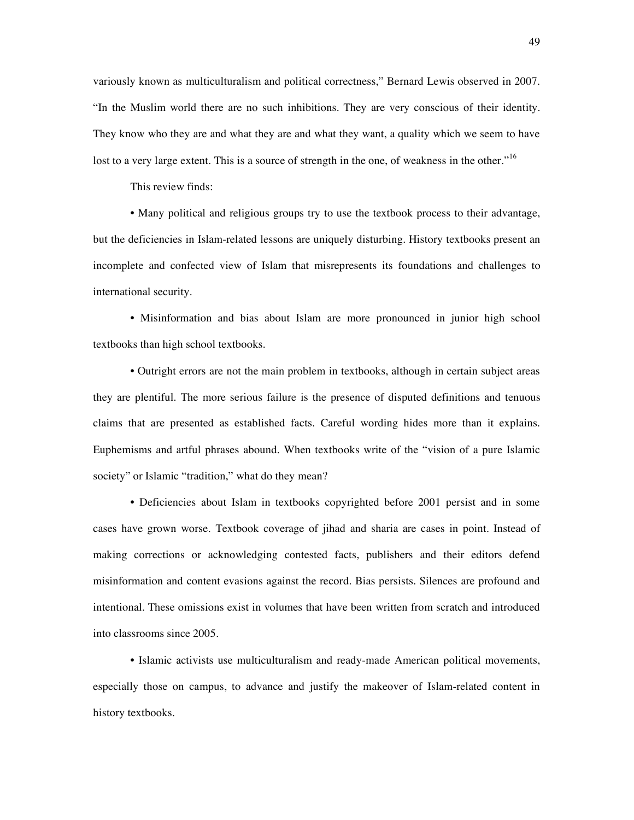variously known as multiculturalism and political correctness," Bernard Lewis observed in 2007. "In the Muslim world there are no such inhibitions. They are very conscious of their identity. They know who they are and what they are and what they want, a quality which we seem to have lost to a very large extent. This is a source of strength in the one, of weakness in the other."<sup>16</sup>

This review finds:

• Many political and religious groups try to use the textbook process to their advantage, but the deficiencies in Islam-related lessons are uniquely disturbing. History textbooks present an incomplete and confected view of Islam that misrepresents its foundations and challenges to international security.

• Misinformation and bias about Islam are more pronounced in junior high school textbooks than high school textbooks.

• Outright errors are not the main problem in textbooks, although in certain subject areas they are plentiful. The more serious failure is the presence of disputed definitions and tenuous claims that are presented as established facts. Careful wording hides more than it explains. Euphemisms and artful phrases abound. When textbooks write of the "vision of a pure Islamic society" or Islamic "tradition," what do they mean?

• Deficiencies about Islam in textbooks copyrighted before 2001 persist and in some cases have grown worse. Textbook coverage of jihad and sharia are cases in point. Instead of making corrections or acknowledging contested facts, publishers and their editors defend misinformation and content evasions against the record. Bias persists. Silences are profound and intentional. These omissions exist in volumes that have been written from scratch and introduced into classrooms since 2005.

• Islamic activists use multiculturalism and ready-made American political movements, especially those on campus, to advance and justify the makeover of Islam-related content in history textbooks.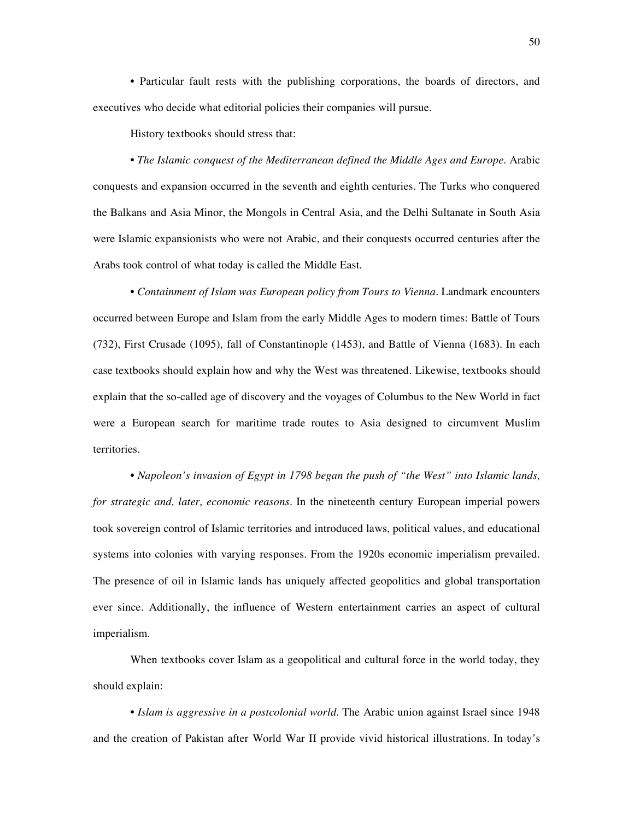• Particular fault rests with the publishing corporations, the boards of directors, and executives who decide what editorial policies their companies will pursue.

History textbooks should stress that:

• *The Islamic conquest of the Mediterranean defined the Middle Ages and Europe*. Arabic conquests and expansion occurred in the seventh and eighth centuries. The Turks who conquered the Balkans and Asia Minor, the Mongols in Central Asia, and the Delhi Sultanate in South Asia were Islamic expansionists who were not Arabic, and their conquests occurred centuries after the Arabs took control of what today is called the Middle East.

• *Containment of Islam was European policy from Tours to Vienna*. Landmark encounters occurred between Europe and Islam from the early Middle Ages to modern times: Battle of Tours (732), First Crusade (1095), fall of Constantinople (1453), and Battle of Vienna (1683). In each case textbooks should explain how and why the West was threatened. Likewise, textbooks should explain that the so-called age of discovery and the voyages of Columbus to the New World in fact were a European search for maritime trade routes to Asia designed to circumvent Muslim territories.

• *Napoleon's invasion of Egypt in 1798 began the push of "the West" into Islamic lands, for strategic and, later, economic reasons*. In the nineteenth century European imperial powers took sovereign control of Islamic territories and introduced laws, political values, and educational systems into colonies with varying responses. From the 1920s economic imperialism prevailed. The presence of oil in Islamic lands has uniquely affected geopolitics and global transportation ever since. Additionally, the influence of Western entertainment carries an aspect of cultural imperialism.

When textbooks cover Islam as a geopolitical and cultural force in the world today, they should explain:

• *Islam is aggressive in a postcolonial world.* The Arabic union against Israel since 1948 and the creation of Pakistan after World War II provide vivid historical illustrations. In today's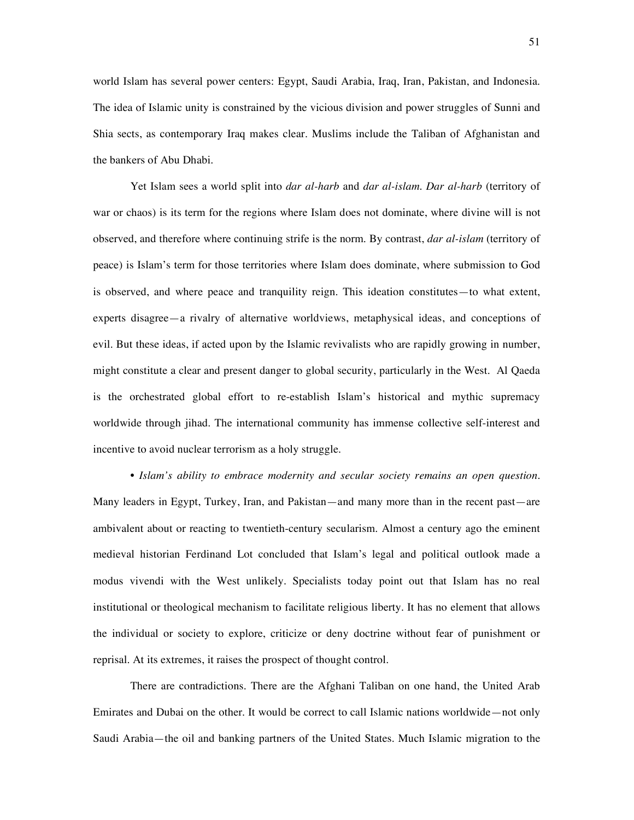world Islam has several power centers: Egypt, Saudi Arabia, Iraq, Iran, Pakistan, and Indonesia. The idea of Islamic unity is constrained by the vicious division and power struggles of Sunni and Shia sects, as contemporary Iraq makes clear. Muslims include the Taliban of Afghanistan and the bankers of Abu Dhabi.

Yet Islam sees a world split into *dar al-harb* and *dar al-islam. Dar al-harb* (territory of war or chaos) is its term for the regions where Islam does not dominate, where divine will is not observed, and therefore where continuing strife is the norm. By contrast, *dar al-islam* (territory of peace) is Islam's term for those territories where Islam does dominate, where submission to God is observed, and where peace and tranquility reign. This ideation constitutes—to what extent, experts disagree—a rivalry of alternative worldviews, metaphysical ideas, and conceptions of evil. But these ideas, if acted upon by the Islamic revivalists who are rapidly growing in number, might constitute a clear and present danger to global security, particularly in the West. Al Qaeda is the orchestrated global effort to re-establish Islam's historical and mythic supremacy worldwide through jihad. The international community has immense collective self-interest and incentive to avoid nuclear terrorism as a holy struggle.

• *Islam's ability to embrace modernity and secular society remains an open question.* Many leaders in Egypt, Turkey, Iran, and Pakistan—and many more than in the recent past—are ambivalent about or reacting to twentieth-century secularism. Almost a century ago the eminent medieval historian Ferdinand Lot concluded that Islam's legal and political outlook made a modus vivendi with the West unlikely. Specialists today point out that Islam has no real institutional or theological mechanism to facilitate religious liberty. It has no element that allows the individual or society to explore, criticize or deny doctrine without fear of punishment or reprisal. At its extremes, it raises the prospect of thought control.

There are contradictions. There are the Afghani Taliban on one hand, the United Arab Emirates and Dubai on the other. It would be correct to call Islamic nations worldwide—not only Saudi Arabia—the oil and banking partners of the United States. Much Islamic migration to the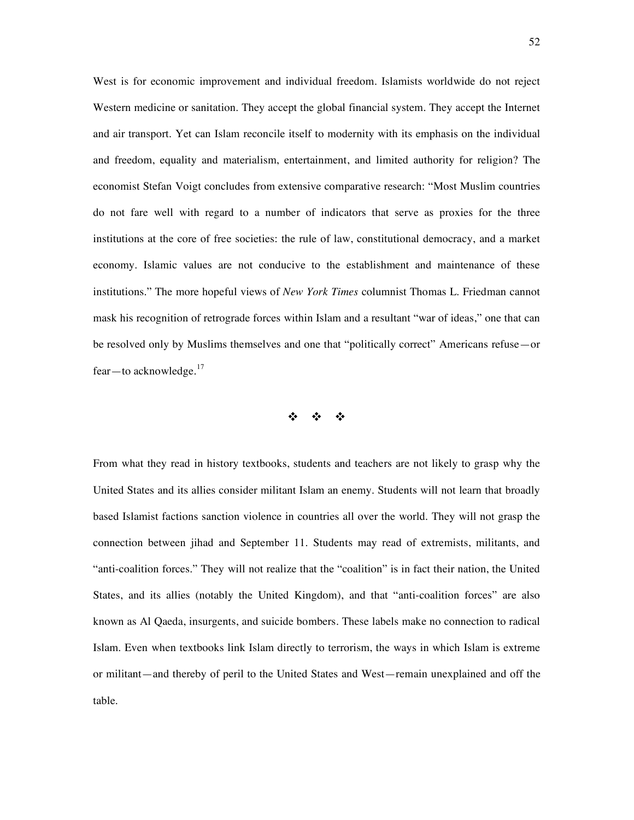West is for economic improvement and individual freedom. Islamists worldwide do not reject Western medicine or sanitation. They accept the global financial system. They accept the Internet and air transport. Yet can Islam reconcile itself to modernity with its emphasis on the individual and freedom, equality and materialism, entertainment, and limited authority for religion? The economist Stefan Voigt concludes from extensive comparative research: "Most Muslim countries do not fare well with regard to a number of indicators that serve as proxies for the three institutions at the core of free societies: the rule of law, constitutional democracy, and a market economy. Islamic values are not conducive to the establishment and maintenance of these institutions." The more hopeful views of *New York Times* columnist Thomas L. Friedman cannot mask his recognition of retrograde forces within Islam and a resultant "war of ideas," one that can be resolved only by Muslims themselves and one that "politically correct" Americans refuse—or fear—to acknowledge.<sup>17</sup>

 $\label{eq:2.1} \frac{d\mathbf{y}}{dt} = -\frac{d\mathbf{y}}{dt} = -\frac{d\mathbf{y}}{dt}$ 

From what they read in history textbooks, students and teachers are not likely to grasp why the United States and its allies consider militant Islam an enemy. Students will not learn that broadly based Islamist factions sanction violence in countries all over the world. They will not grasp the connection between jihad and September 11. Students may read of extremists, militants, and "anti-coalition forces." They will not realize that the "coalition" is in fact their nation, the United States, and its allies (notably the United Kingdom), and that "anti-coalition forces" are also known as Al Qaeda, insurgents, and suicide bombers. These labels make no connection to radical Islam. Even when textbooks link Islam directly to terrorism, the ways in which Islam is extreme or militant—and thereby of peril to the United States and West—remain unexplained and off the table.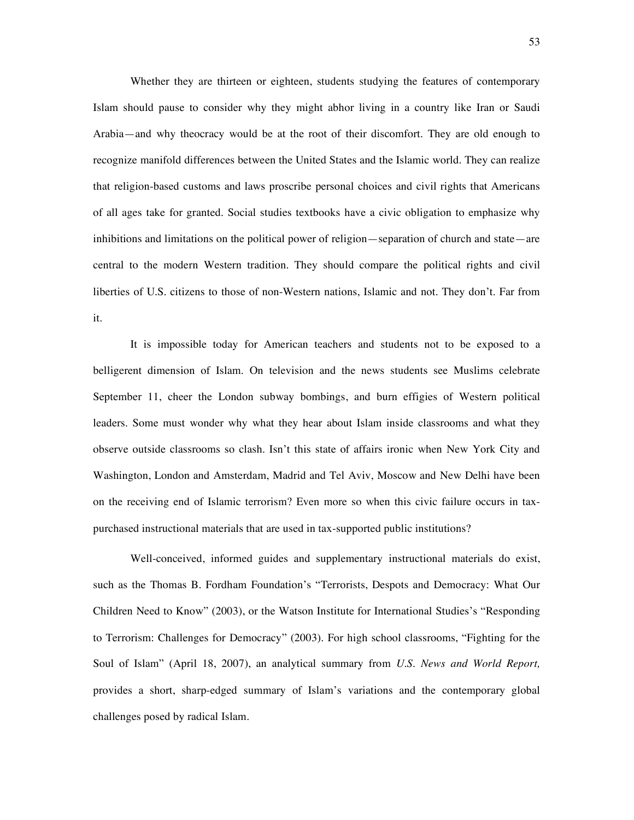Whether they are thirteen or eighteen, students studying the features of contemporary Islam should pause to consider why they might abhor living in a country like Iran or Saudi Arabia—and why theocracy would be at the root of their discomfort. They are old enough to recognize manifold differences between the United States and the Islamic world. They can realize that religion-based customs and laws proscribe personal choices and civil rights that Americans of all ages take for granted. Social studies textbooks have a civic obligation to emphasize why inhibitions and limitations on the political power of religion—separation of church and state—are central to the modern Western tradition. They should compare the political rights and civil liberties of U.S. citizens to those of non-Western nations, Islamic and not. They don't. Far from it.

It is impossible today for American teachers and students not to be exposed to a belligerent dimension of Islam. On television and the news students see Muslims celebrate September 11, cheer the London subway bombings, and burn effigies of Western political leaders. Some must wonder why what they hear about Islam inside classrooms and what they observe outside classrooms so clash. Isn't this state of affairs ironic when New York City and Washington, London and Amsterdam, Madrid and Tel Aviv, Moscow and New Delhi have been on the receiving end of Islamic terrorism? Even more so when this civic failure occurs in taxpurchased instructional materials that are used in tax-supported public institutions?

Well-conceived, informed guides and supplementary instructional materials do exist, such as the Thomas B. Fordham Foundation's "Terrorists, Despots and Democracy: What Our Children Need to Know" (2003), or the Watson Institute for International Studies's "Responding to Terrorism: Challenges for Democracy" (2003). For high school classrooms, "Fighting for the Soul of Islam" (April 18, 2007), an analytical summary from *U.S. News and World Report,* provides a short, sharp-edged summary of Islam's variations and the contemporary global challenges posed by radical Islam.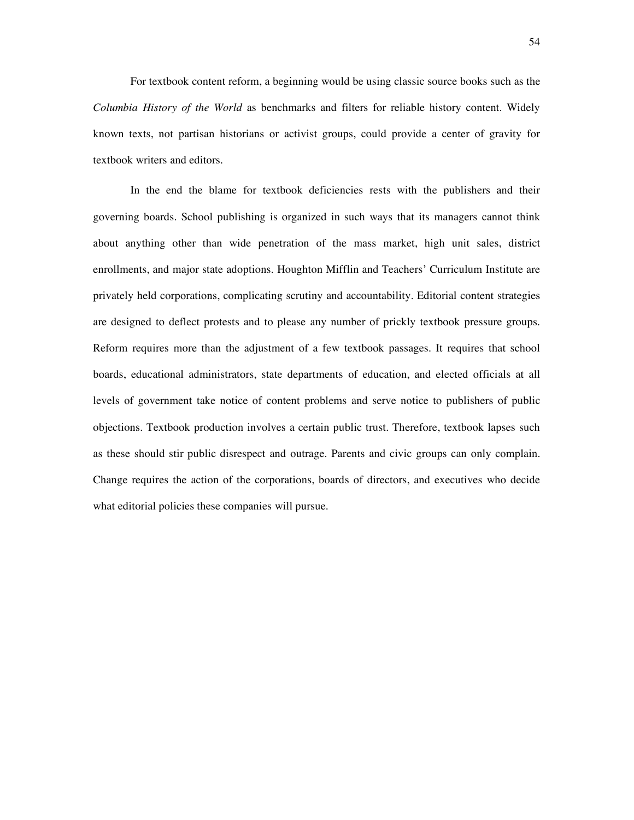For textbook content reform, a beginning would be using classic source books such as the *Columbia History of the World* as benchmarks and filters for reliable history content. Widely known texts, not partisan historians or activist groups, could provide a center of gravity for textbook writers and editors.

In the end the blame for textbook deficiencies rests with the publishers and their governing boards. School publishing is organized in such ways that its managers cannot think about anything other than wide penetration of the mass market, high unit sales, district enrollments, and major state adoptions. Houghton Mifflin and Teachers' Curriculum Institute are privately held corporations, complicating scrutiny and accountability. Editorial content strategies are designed to deflect protests and to please any number of prickly textbook pressure groups. Reform requires more than the adjustment of a few textbook passages. It requires that school boards, educational administrators, state departments of education, and elected officials at all levels of government take notice of content problems and serve notice to publishers of public objections. Textbook production involves a certain public trust. Therefore, textbook lapses such as these should stir public disrespect and outrage. Parents and civic groups can only complain. Change requires the action of the corporations, boards of directors, and executives who decide what editorial policies these companies will pursue.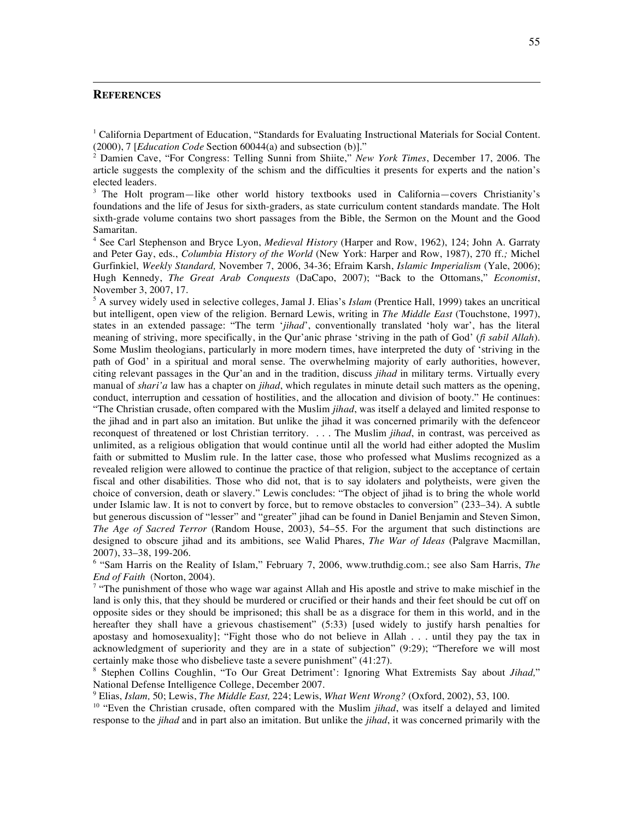#### **REFERENCES**

 $\overline{a}$ 

<sup>1</sup> California Department of Education, "Standards for Evaluating Instructional Materials for Social Content. (2000), 7 [*Education Code* Section 60044(a) and subsection (b)]."

<sup>2</sup> Damien Cave, "For Congress: Telling Sunni from Shiite," *New York Times*, December 17, 2006. The article suggests the complexity of the schism and the difficulties it presents for experts and the nation's elected leaders.

<sup>3</sup> The Holt program—like other world history textbooks used in California—covers Christianity's foundations and the life of Jesus for sixth-graders, as state curriculum content standards mandate. The Holt sixth-grade volume contains two short passages from the Bible, the Sermon on the Mount and the Good Samaritan.

<sup>4</sup> See Carl Stephenson and Bryce Lyon, *Medieval History* (Harper and Row, 1962), 124; John A. Garraty and Peter Gay, eds., *Columbia History of the World* (New York: Harper and Row, 1987), 270 ff*.;* Michel Gurfinkiel, *Weekly Standard,* November 7, 2006, 34-36; Efraim Karsh, *Islamic Imperialism* (Yale, 2006); Hugh Kennedy, *The Great Arab Conquests* (DaCapo, 2007); "Back to the Ottomans," *Economist*, November 3, 2007, 17.

<sup>5</sup> A survey widely used in selective colleges, Jamal J. Elias's *Islam* (Prentice Hall, 1999) takes an uncritical but intelligent, open view of the religion. Bernard Lewis, writing in *The Middle East* (Touchstone, 1997), states in an extended passage: "The term '*jihad*', conventionally translated 'holy war', has the literal meaning of striving, more specifically, in the Qur'anic phrase 'striving in the path of God' (*fi sabil Allah*). Some Muslim theologians, particularly in more modern times, have interpreted the duty of 'striving in the path of God' in a spiritual and moral sense. The overwhelming majority of early authorities, however, citing relevant passages in the Qur'an and in the tradition, discuss *jihad* in military terms. Virtually every manual of *shari'a* law has a chapter on *jihad*, which regulates in minute detail such matters as the opening, conduct, interruption and cessation of hostilities, and the allocation and division of booty." He continues: "The Christian crusade, often compared with the Muslim *jihad*, was itself a delayed and limited response to the jihad and in part also an imitation. But unlike the jihad it was concerned primarily with the defenceor reconquest of threatened or lost Christian territory. . . . The Muslim *jihad*, in contrast, was perceived as unlimited, as a religious obligation that would continue until all the world had either adopted the Muslim faith or submitted to Muslim rule. In the latter case, those who professed what Muslims recognized as a revealed religion were allowed to continue the practice of that religion, subject to the acceptance of certain fiscal and other disabilities. Those who did not, that is to say idolaters and polytheists, were given the choice of conversion, death or slavery." Lewis concludes: "The object of jihad is to bring the whole world under Islamic law. It is not to convert by force, but to remove obstacles to conversion" (233–34). A subtle but generous discussion of "lesser" and "greater" jihad can be found in Daniel Benjamin and Steven Simon, *The Age of Sacred Terror* (Random House, 2003), 54–55. For the argument that such distinctions are designed to obscure jihad and its ambitions, see Walid Phares, *The War of Ideas* (Palgrave Macmillan, 2007), 33–38, 199-206.

<sup>6</sup> "Sam Harris on the Reality of Islam," February 7, 2006, www.truthdig.com.; see also Sam Harris, *The End of Faith* (Norton, 2004).

 $\alpha$  "The punishment of those who wage war against Allah and His apostle and strive to make mischief in the land is only this, that they should be murdered or crucified or their hands and their feet should be cut off on opposite sides or they should be imprisoned; this shall be as a disgrace for them in this world, and in the hereafter they shall have a grievous chastisement" (5:33) [used widely to justify harsh penalties for apostasy and homosexuality]; "Fight those who do not believe in Allah . . . until they pay the tax in acknowledgment of superiority and they are in a state of subjection" (9:29); "Therefore we will most certainly make those who disbelieve taste a severe punishment" (41:27).

<sup>8</sup> Stephen Collins Coughlin, "To Our Great Detriment': Ignoring What Extremists Say about *Jihad,*" National Defense Intelligence College, December 2007.

<sup>9</sup> Elias, *Islam,* 50; Lewis, *The Middle East,* 224; Lewis, *What Went Wrong?* (Oxford, 2002), 53, 100.

<sup>10</sup> "Even the Christian crusade, often compared with the Muslim *jihad*, was itself a delayed and limited response to the *jihad* and in part also an imitation. But unlike the *jihad*, it was concerned primarily with the